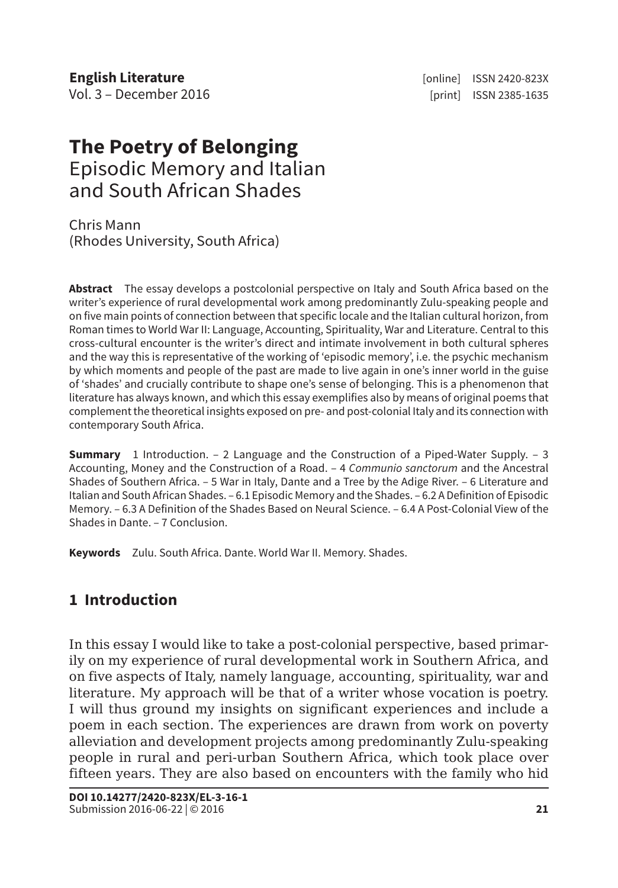**English Literature English Literature English Literature** *n* **English 2420-823X** Vol. 3 – December 2016 **and 2018** [print] ISSN 2385-1635

# **The Poetry of Belonging** Episodic Memory and Italian and South African Shades

Chris Mann (Rhodes University, South Africa)

**Abstract** The essay develops a postcolonial perspective on Italy and South Africa based on the writer's experience of rural developmental work among predominantly Zulu-speaking people and on five main points of connection between that specific locale and the Italian cultural horizon, from Roman times to World War II: Language, Accounting, Spirituality, War and Literature. Central to this cross-cultural encounter is the writer's direct and intimate involvement in both cultural spheres and the way this is representative of the working of 'episodic memory', i.e. the psychic mechanism by which moments and people of the past are made to live again in one's inner world in the guise of 'shades' and crucially contribute to shape one's sense of belonging. This is a phenomenon that literature has always known, and which this essay exemplifies also by means of original poems that complement the theoretical insights exposed on pre- and post-colonial Italy and its connection with contemporary South Africa.

**Summary** 1 Introduction. – 2 Language and the Construction of a Piped-Water Supply. – 3 Accounting, Money and the Construction of a Road. – 4 *Communio sanctorum* and the Ancestral Shades of Southern Africa. – 5 War in Italy, Dante and a Tree by the Adige River. – 6 Literature and Italian and South African Shades. – 6.1 Episodic Memory and the Shades. – 6.2 A Definition of Episodic Memory. – 6.3 A Definition of the Shades Based on Neural Science. – 6.4 A Post-Colonial View of the Shades in Dante. – 7 Conclusion.

**Keywords** Zulu. South Africa. Dante. World War II. Memory. Shades.

# **1 Introduction**

In this essay I would like to take a post-colonial perspective, based primarily on my experience of rural developmental work in Southern Africa, and on five aspects of Italy, namely language, accounting, spirituality, war and literature. My approach will be that of a writer whose vocation is poetry. I will thus ground my insights on significant experiences and include a poem in each section. The experiences are drawn from work on poverty alleviation and development projects among predominantly Zulu-speaking people in rural and peri-urban Southern Africa, which took place over fifteen years. They are also based on encounters with the family who hid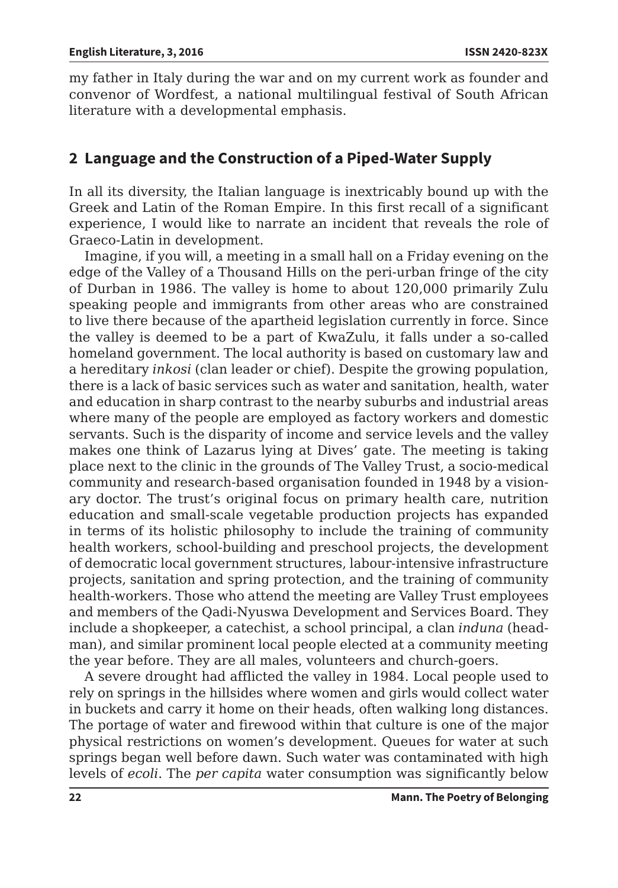my father in Italy during the war and on my current work as founder and convenor of Wordfest, a national multilingual festival of South African literature with a developmental emphasis.

# **2 Language and the Construction of a Piped-Water Supply**

In all its diversity, the Italian language is inextricably bound up with the Greek and Latin of the Roman Empire. In this first recall of a significant experience, I would like to narrate an incident that reveals the role of Graeco-Latin in development.

Imagine, if you will, a meeting in a small hall on a Friday evening on the edge of the Valley of a Thousand Hills on the peri-urban fringe of the city of Durban in 1986. The valley is home to about 120,000 primarily Zulu speaking people and immigrants from other areas who are constrained to live there because of the apartheid legislation currently in force. Since the valley is deemed to be a part of KwaZulu, it falls under a so-called homeland government. The local authority is based on customary law and a hereditary *inkosi* (clan leader or chief). Despite the growing population, there is a lack of basic services such as water and sanitation, health, water and education in sharp contrast to the nearby suburbs and industrial areas where many of the people are employed as factory workers and domestic servants. Such is the disparity of income and service levels and the valley makes one think of Lazarus lying at Dives' gate. The meeting is taking place next to the clinic in the grounds of The Valley Trust, a socio-medical community and research-based organisation founded in 1948 by a visionary doctor. The trust's original focus on primary health care, nutrition education and small-scale vegetable production projects has expanded in terms of its holistic philosophy to include the training of community health workers, school-building and preschool projects, the development of democratic local government structures, labour-intensive infrastructure projects, sanitation and spring protection, and the training of community health-workers. Those who attend the meeting are Valley Trust employees and members of the Qadi-Nyuswa Development and Services Board. They include a shopkeeper, a catechist, a school principal, a clan *induna* (headman), and similar prominent local people elected at a community meeting the year before. They are all males, volunteers and church-goers.

A severe drought had afflicted the valley in 1984. Local people used to rely on springs in the hillsides where women and girls would collect water in buckets and carry it home on their heads, often walking long distances. The portage of water and firewood within that culture is one of the major physical restrictions on women's development. Queues for water at such springs began well before dawn. Such water was contaminated with high levels of *ecoli*. The *per capita* water consumption was significantly below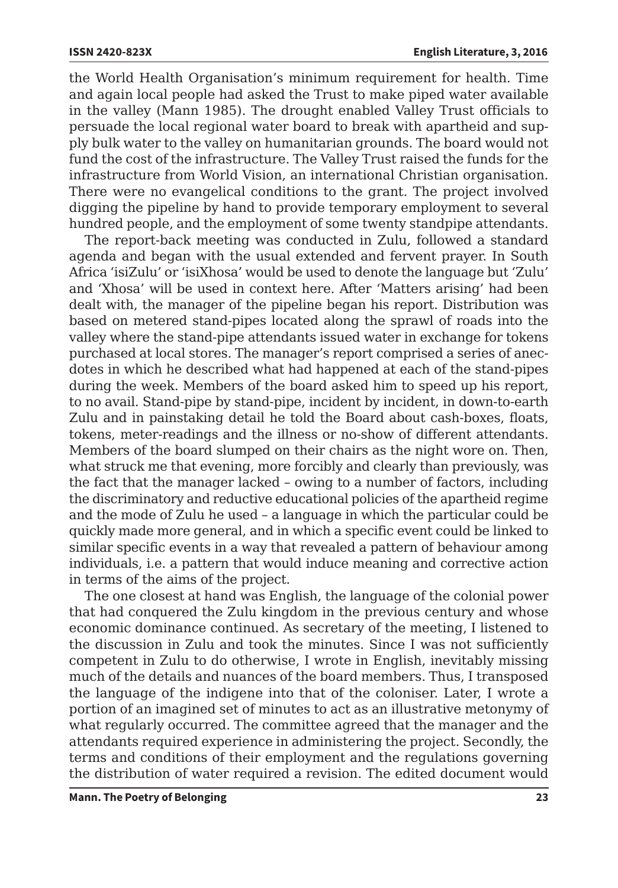the World Health Organisation's minimum requirement for health. Time and again local people had asked the Trust to make piped water available in the valley (Mann 1985). The drought enabled Valley Trust officials to persuade the local regional water board to break with apartheid and supply bulk water to the valley on humanitarian grounds. The board would not fund the cost of the infrastructure. The Valley Trust raised the funds for the infrastructure from World Vision, an international Christian organisation. There were no evangelical conditions to the grant. The project involved digging the pipeline by hand to provide temporary employment to several hundred people, and the employment of some twenty standpipe attendants.

The report-back meeting was conducted in Zulu, followed a standard agenda and began with the usual extended and fervent prayer. In South Africa 'isiZulu' or 'isiXhosa' would be used to denote the language but 'Zulu' and 'Xhosa' will be used in context here. After 'Matters arising' had been dealt with, the manager of the pipeline began his report. Distribution was based on metered stand-pipes located along the sprawl of roads into the valley where the stand-pipe attendants issued water in exchange for tokens purchased at local stores. The manager's report comprised a series of anecdotes in which he described what had happened at each of the stand-pipes during the week. Members of the board asked him to speed up his report, to no avail. Stand-pipe by stand-pipe, incident by incident, in down-to-earth Zulu and in painstaking detail he told the Board about cash-boxes, floats, tokens, meter-readings and the illness or no-show of different attendants. Members of the board slumped on their chairs as the night wore on. Then, what struck me that evening, more forcibly and clearly than previously, was the fact that the manager lacked – owing to a number of factors, including the discriminatory and reductive educational policies of the apartheid regime and the mode of Zulu he used – a language in which the particular could be quickly made more general, and in which a specific event could be linked to similar specific events in a way that revealed a pattern of behaviour among individuals, i.e. a pattern that would induce meaning and corrective action in terms of the aims of the project.

The one closest at hand was English, the language of the colonial power that had conquered the Zulu kingdom in the previous century and whose economic dominance continued. As secretary of the meeting, I listened to the discussion in Zulu and took the minutes. Since I was not sufficiently competent in Zulu to do otherwise, I wrote in English, inevitably missing much of the details and nuances of the board members. Thus, I transposed the language of the indigene into that of the coloniser. Later, I wrote a portion of an imagined set of minutes to act as an illustrative metonymy of what regularly occurred. The committee agreed that the manager and the attendants required experience in administering the project. Secondly, the terms and conditions of their employment and the regulations governing the distribution of water required a revision. The edited document would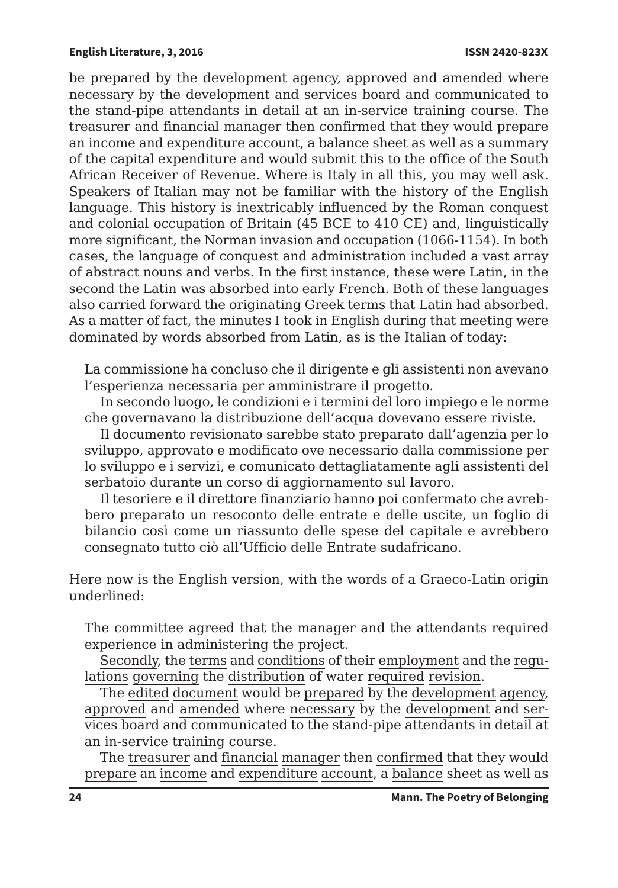be prepared by the development agency, approved and amended where necessary by the development and services board and communicated to the stand-pipe attendants in detail at an in-service training course. The treasurer and financial manager then confirmed that they would prepare an income and expenditure account, a balance sheet as well as a summary of the capital expenditure and would submit this to the office of the South African Receiver of Revenue. Where is Italy in all this, you may well ask. Speakers of Italian may not be familiar with the history of the English language. This history is inextricably influenced by the Roman conquest and colonial occupation of Britain (45 BCE to 410 CE) and, linguistically more significant, the Norman invasion and occupation (1066-1154). In both cases, the language of conquest and administration included a vast array of abstract nouns and verbs. In the first instance, these were Latin, in the second the Latin was absorbed into early French. Both of these languages also carried forward the originating Greek terms that Latin had absorbed. As a matter of fact, the minutes I took in English during that meeting were dominated by words absorbed from Latin, as is the Italian of today:

La commissione ha concluso che il dirigente e gli assistenti non avevano l'esperienza necessaria per amministrare il progetto.

In secondo luogo, le condizioni e i termini del loro impiego e le norme che governavano la distribuzione dell'acqua dovevano essere riviste.

Il documento revisionato sarebbe stato preparato dall'agenzia per lo sviluppo, approvato e modificato ove necessario dalla commissione per lo sviluppo e i servizi, e comunicato dettagliatamente agli assistenti del serbatoio durante un corso di aggiornamento sul lavoro.

Il tesoriere e il direttore finanziario hanno poi confermato che avrebbero preparato un resoconto delle entrate e delle uscite, un foglio di bilancio così come un riassunto delle spese del capitale e avrebbero consegnato tutto ciò all'Ufficio delle Entrate sudafricano.

Here now is the English version, with the words of a Graeco-Latin origin underlined:

The committee agreed that the manager and the attendants required experience in administering the project.

Secondly, the terms and conditions of their employment and the regulations governing the distribution of water required revision.

The edited document would be prepared by the development agency, approved and amended where necessary by the development and services board and communicated to the stand-pipe attendants in detail at an in-service training course.

The treasurer and financial manager then confirmed that they would prepare an income and expenditure account, a balance sheet as well as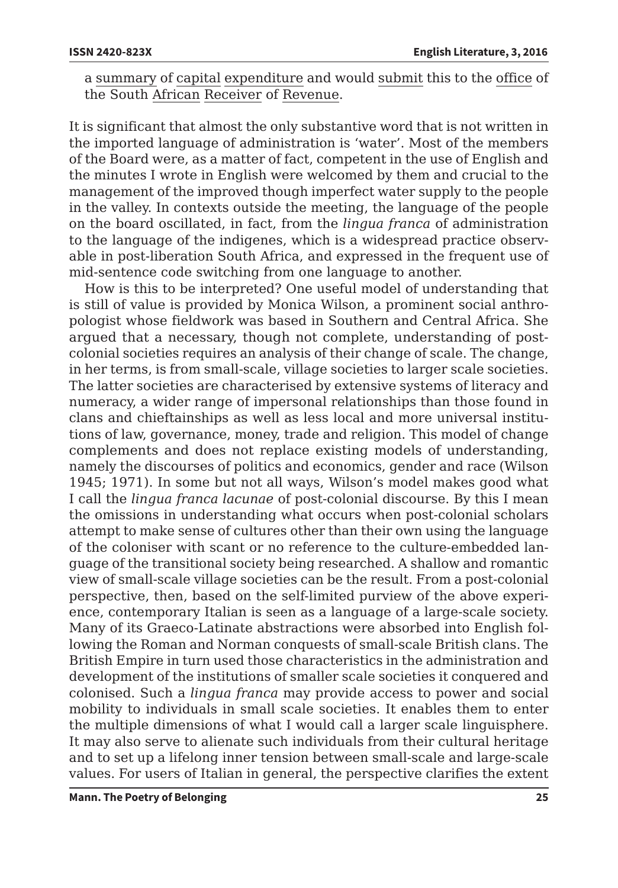a summary of capital expenditure and would submit this to the office of the South African Receiver of Revenue.

It is significant that almost the only substantive word that is not written in the imported language of administration is 'water'. Most of the members of the Board were, as a matter of fact, competent in the use of English and the minutes I wrote in English were welcomed by them and crucial to the management of the improved though imperfect water supply to the people in the valley. In contexts outside the meeting, the language of the people on the board oscillated, in fact, from the *lingua franca* of administration to the language of the indigenes, which is a widespread practice observable in post-liberation South Africa, and expressed in the frequent use of mid-sentence code switching from one language to another.

How is this to be interpreted? One useful model of understanding that is still of value is provided by Monica Wilson, a prominent social anthropologist whose fieldwork was based in Southern and Central Africa. She argued that a necessary, though not complete, understanding of postcolonial societies requires an analysis of their change of scale. The change, in her terms, is from small-scale, village societies to larger scale societies. The latter societies are characterised by extensive systems of literacy and numeracy, a wider range of impersonal relationships than those found in clans and chieftainships as well as less local and more universal institutions of law, governance, money, trade and religion. This model of change complements and does not replace existing models of understanding, namely the discourses of politics and economics, gender and race (Wilson 1945; 1971). In some but not all ways, Wilson's model makes good what I call the *lingua franca lacunae* of post-colonial discourse. By this I mean the omissions in understanding what occurs when post-colonial scholars attempt to make sense of cultures other than their own using the language of the coloniser with scant or no reference to the culture-embedded language of the transitional society being researched. A shallow and romantic view of small-scale village societies can be the result. From a post-colonial perspective, then, based on the self-limited purview of the above experience, contemporary Italian is seen as a language of a large-scale society. Many of its Graeco-Latinate abstractions were absorbed into English following the Roman and Norman conquests of small-scale British clans. The British Empire in turn used those characteristics in the administration and development of the institutions of smaller scale societies it conquered and colonised. Such a *lingua franca* may provide access to power and social mobility to individuals in small scale societies. It enables them to enter the multiple dimensions of what I would call a larger scale linguisphere. It may also serve to alienate such individuals from their cultural heritage and to set up a lifelong inner tension between small-scale and large-scale values. For users of Italian in general, the perspective clarifies the extent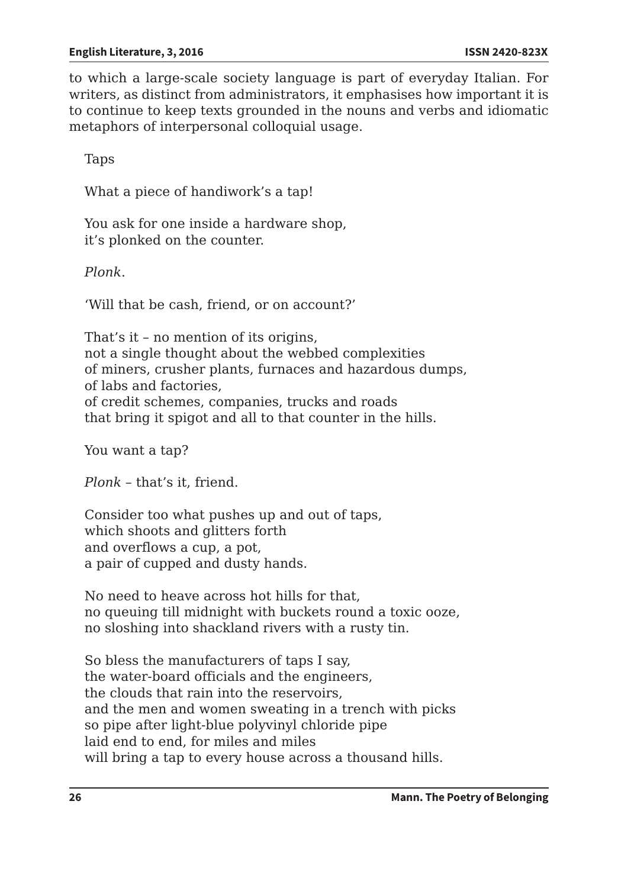to which a large-scale society language is part of everyday Italian. For writers, as distinct from administrators, it emphasises how important it is to continue to keep texts grounded in the nouns and verbs and idiomatic metaphors of interpersonal colloquial usage.

Taps

What a piece of handiwork's a tap!

You ask for one inside a hardware shop, it's plonked on the counter.

*Plonk*.

'Will that be cash, friend, or on account?'

That's it – no mention of its origins, not a single thought about the webbed complexities of miners, crusher plants, furnaces and hazardous dumps, of labs and factories, of credit schemes, companies, trucks and roads that bring it spigot and all to that counter in the hills.

You want a tap?

*Plonk* – that's it, friend.

Consider too what pushes up and out of taps, which shoots and glitters forth and overflows a cup, a pot, a pair of cupped and dusty hands.

No need to heave across hot hills for that, no queuing till midnight with buckets round a toxic ooze, no sloshing into shackland rivers with a rusty tin.

So bless the manufacturers of taps I say, the water-board officials and the engineers, the clouds that rain into the reservoirs, and the men and women sweating in a trench with picks so pipe after light-blue polyvinyl chloride pipe laid end to end, for miles and miles will bring a tap to every house across a thousand hills.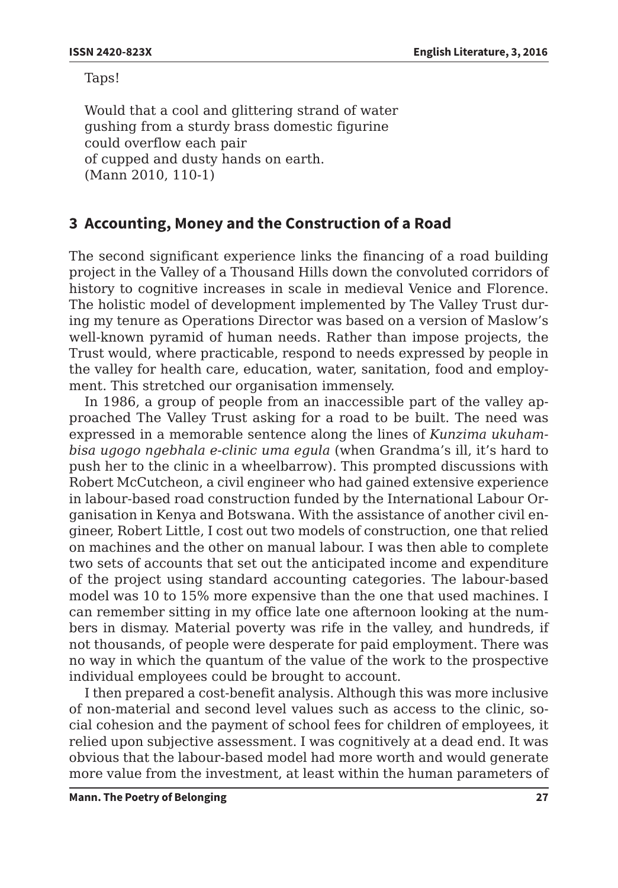Taps!

Would that a cool and glittering strand of water gushing from a sturdy brass domestic figurine could overflow each pair of cupped and dusty hands on earth. (Mann 2010, 110-1)

# **3 Accounting, Money and the Construction of a Road**

The second significant experience links the financing of a road building project in the Valley of a Thousand Hills down the convoluted corridors of history to cognitive increases in scale in medieval Venice and Florence. The holistic model of development implemented by The Valley Trust during my tenure as Operations Director was based on a version of Maslow's well-known pyramid of human needs. Rather than impose projects, the Trust would, where practicable, respond to needs expressed by people in the valley for health care, education, water, sanitation, food and employment. This stretched our organisation immensely.

In 1986, a group of people from an inaccessible part of the valley approached The Valley Trust asking for a road to be built. The need was expressed in a memorable sentence along the lines of *Kunzima ukuhambisa ugogo ngebhala e-clinic uma egula* (when Grandma's ill, it's hard to push her to the clinic in a wheelbarrow). This prompted discussions with Robert McCutcheon, a civil engineer who had gained extensive experience in labour-based road construction funded by the International Labour Organisation in Kenya and Botswana. With the assistance of another civil engineer, Robert Little, I cost out two models of construction, one that relied on machines and the other on manual labour. I was then able to complete two sets of accounts that set out the anticipated income and expenditure of the project using standard accounting categories. The labour-based model was 10 to 15% more expensive than the one that used machines. I can remember sitting in my office late one afternoon looking at the numbers in dismay. Material poverty was rife in the valley, and hundreds, if not thousands, of people were desperate for paid employment. There was no way in which the quantum of the value of the work to the prospective individual employees could be brought to account.

I then prepared a cost-benefit analysis. Although this was more inclusive of non-material and second level values such as access to the clinic, social cohesion and the payment of school fees for children of employees, it relied upon subjective assessment. I was cognitively at a dead end. It was obvious that the labour-based model had more worth and would generate more value from the investment, at least within the human parameters of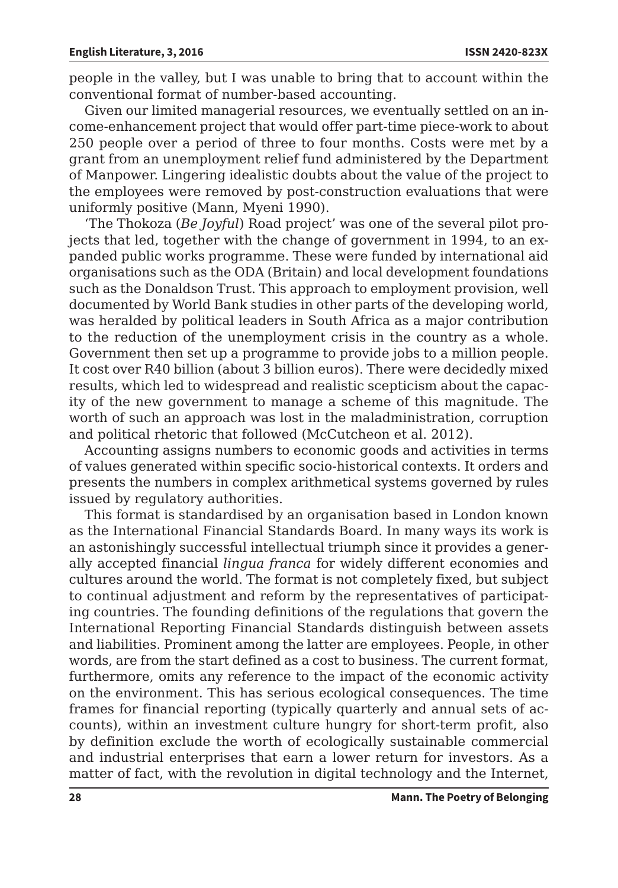people in the valley, but I was unable to bring that to account within the conventional format of number-based accounting.

Given our limited managerial resources, we eventually settled on an income-enhancement project that would offer part-time piece-work to about 250 people over a period of three to four months. Costs were met by a grant from an unemployment relief fund administered by the Department of Manpower. Lingering idealistic doubts about the value of the project to the employees were removed by post-construction evaluations that were uniformly positive (Mann, Myeni 1990).

'The Thokoza (*Be Joyful*) Road project' was one of the several pilot projects that led, together with the change of government in 1994, to an expanded public works programme. These were funded by international aid organisations such as the ODA (Britain) and local development foundations such as the Donaldson Trust. This approach to employment provision, well documented by World Bank studies in other parts of the developing world, was heralded by political leaders in South Africa as a major contribution to the reduction of the unemployment crisis in the country as a whole. Government then set up a programme to provide jobs to a million people. It cost over R40 billion (about 3 billion euros). There were decidedly mixed results, which led to widespread and realistic scepticism about the capacity of the new government to manage a scheme of this magnitude. The worth of such an approach was lost in the maladministration, corruption and political rhetoric that followed (McCutcheon et al. 2012).

Accounting assigns numbers to economic goods and activities in terms of values generated within specific socio-historical contexts. It orders and presents the numbers in complex arithmetical systems governed by rules issued by regulatory authorities.

This format is standardised by an organisation based in London known as the International Financial Standards Board. In many ways its work is an astonishingly successful intellectual triumph since it provides a generally accepted financial *lingua franca* for widely different economies and cultures around the world. The format is not completely fixed, but subject to continual adjustment and reform by the representatives of participating countries. The founding definitions of the regulations that govern the International Reporting Financial Standards distinguish between assets and liabilities. Prominent among the latter are employees. People, in other words, are from the start defined as a cost to business. The current format, furthermore, omits any reference to the impact of the economic activity on the environment. This has serious ecological consequences. The time frames for financial reporting (typically quarterly and annual sets of accounts), within an investment culture hungry for short-term profit, also by definition exclude the worth of ecologically sustainable commercial and industrial enterprises that earn a lower return for investors. As a matter of fact, with the revolution in digital technology and the Internet,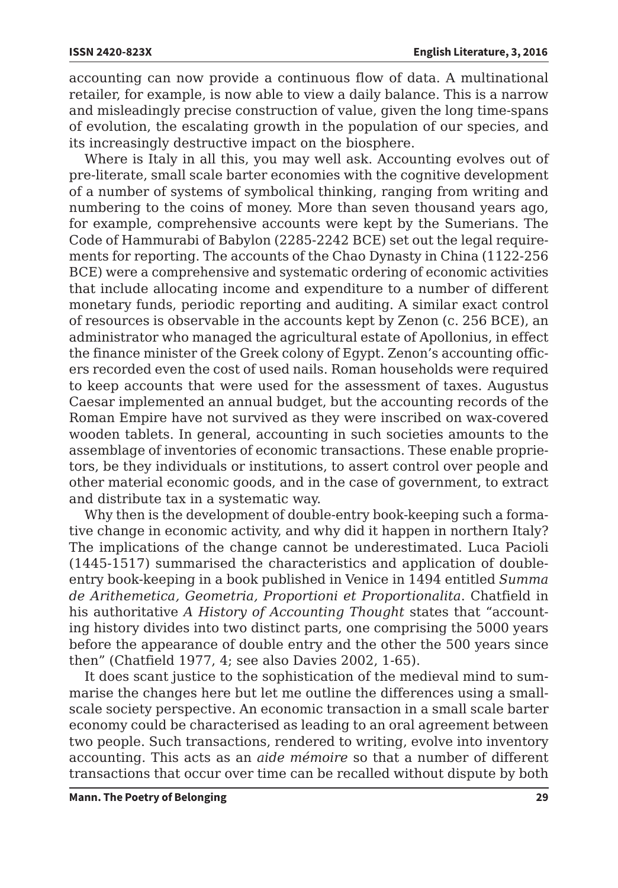accounting can now provide a continuous flow of data. A multinational retailer, for example, is now able to view a daily balance. This is a narrow and misleadingly precise construction of value, given the long time-spans of evolution, the escalating growth in the population of our species, and its increasingly destructive impact on the biosphere.

Where is Italy in all this, you may well ask. Accounting evolves out of pre-literate, small scale barter economies with the cognitive development of a number of systems of symbolical thinking, ranging from writing and numbering to the coins of money. More than seven thousand years ago, for example, comprehensive accounts were kept by the Sumerians. The Code of Hammurabi of Babylon (2285-2242 BCE) set out the legal requirements for reporting. The accounts of the Chao Dynasty in China (1122-256 BCE) were a comprehensive and systematic ordering of economic activities that include allocating income and expenditure to a number of different monetary funds, periodic reporting and auditing. A similar exact control of resources is observable in the accounts kept by Zenon (c. 256 BCE), an administrator who managed the agricultural estate of Apollonius, in effect the finance minister of the Greek colony of Egypt. Zenon's accounting officers recorded even the cost of used nails. Roman households were required to keep accounts that were used for the assessment of taxes. Augustus Caesar implemented an annual budget, but the accounting records of the Roman Empire have not survived as they were inscribed on wax-covered wooden tablets. In general, accounting in such societies amounts to the assemblage of inventories of economic transactions. These enable proprietors, be they individuals or institutions, to assert control over people and other material economic goods, and in the case of government, to extract and distribute tax in a systematic way.

Why then is the development of double-entry book-keeping such a formative change in economic activity, and why did it happen in northern Italy? The implications of the change cannot be underestimated. Luca Pacioli (1445-1517) summarised the characteristics and application of doubleentry book-keeping in a book published in Venice in 1494 entitled *Summa de Arithemetica, Geometria, Proportioni et Proportionalita*. Chatfield in his authoritative *A History of Accounting Thought* states that "accounting history divides into two distinct parts, one comprising the 5000 years before the appearance of double entry and the other the 500 years since then" (Chatfield 1977, 4; see also Davies 2002, 1-65).

It does scant justice to the sophistication of the medieval mind to summarise the changes here but let me outline the differences using a smallscale society perspective. An economic transaction in a small scale barter economy could be characterised as leading to an oral agreement between two people. Such transactions, rendered to writing, evolve into inventory accounting. This acts as an *aide mémoire* so that a number of different transactions that occur over time can be recalled without dispute by both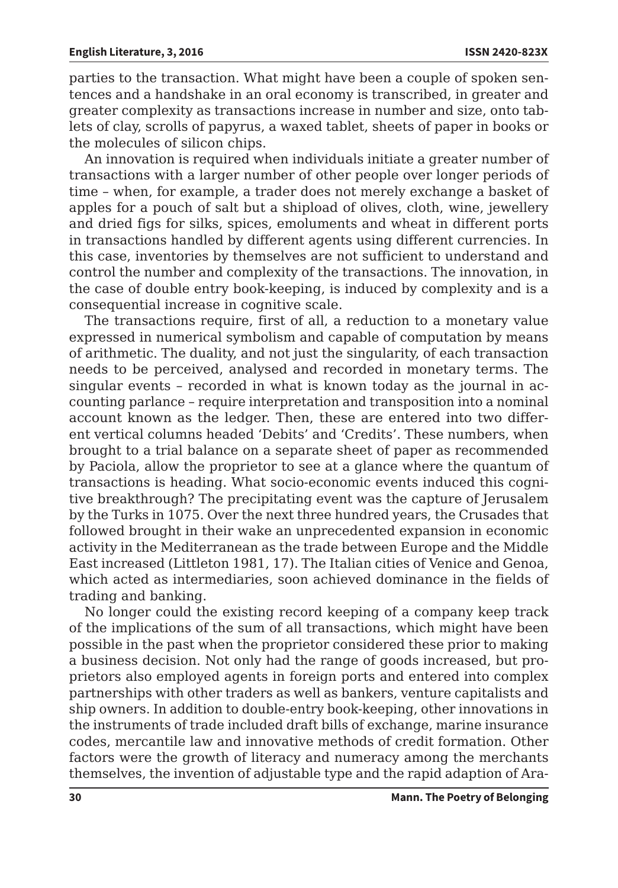parties to the transaction. What might have been a couple of spoken sentences and a handshake in an oral economy is transcribed, in greater and greater complexity as transactions increase in number and size, onto tablets of clay, scrolls of papyrus, a waxed tablet, sheets of paper in books or the molecules of silicon chips.

An innovation is required when individuals initiate a greater number of transactions with a larger number of other people over longer periods of time – when, for example, a trader does not merely exchange a basket of apples for a pouch of salt but a shipload of olives, cloth, wine, jewellery and dried figs for silks, spices, emoluments and wheat in different ports in transactions handled by different agents using different currencies. In this case, inventories by themselves are not sufficient to understand and control the number and complexity of the transactions. The innovation, in the case of double entry book-keeping, is induced by complexity and is a consequential increase in cognitive scale.

The transactions require, first of all, a reduction to a monetary value expressed in numerical symbolism and capable of computation by means of arithmetic. The duality, and not just the singularity, of each transaction needs to be perceived, analysed and recorded in monetary terms. The singular events – recorded in what is known today as the journal in accounting parlance – require interpretation and transposition into a nominal account known as the ledger. Then, these are entered into two different vertical columns headed 'Debits' and 'Credits'. These numbers, when brought to a trial balance on a separate sheet of paper as recommended by Paciola, allow the proprietor to see at a glance where the quantum of transactions is heading. What socio-economic events induced this cognitive breakthrough? The precipitating event was the capture of Jerusalem by the Turks in 1075. Over the next three hundred years, the Crusades that followed brought in their wake an unprecedented expansion in economic activity in the Mediterranean as the trade between Europe and the Middle East increased (Littleton 1981, 17). The Italian cities of Venice and Genoa, which acted as intermediaries, soon achieved dominance in the fields of trading and banking.

No longer could the existing record keeping of a company keep track of the implications of the sum of all transactions, which might have been possible in the past when the proprietor considered these prior to making a business decision. Not only had the range of goods increased, but proprietors also employed agents in foreign ports and entered into complex partnerships with other traders as well as bankers, venture capitalists and ship owners. In addition to double-entry book-keeping, other innovations in the instruments of trade included draft bills of exchange, marine insurance codes, mercantile law and innovative methods of credit formation. Other factors were the growth of literacy and numeracy among the merchants themselves, the invention of adjustable type and the rapid adaption of Ara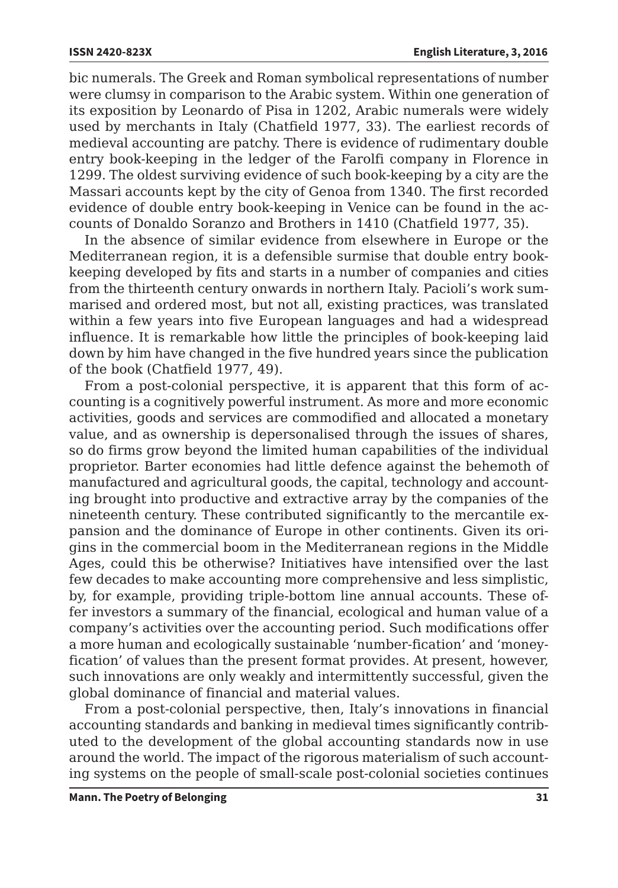bic numerals. The Greek and Roman symbolical representations of number were clumsy in comparison to the Arabic system. Within one generation of its exposition by Leonardo of Pisa in 1202, Arabic numerals were widely used by merchants in Italy (Chatfield 1977, 33). The earliest records of medieval accounting are patchy. There is evidence of rudimentary double entry book-keeping in the ledger of the Farolfi company in Florence in 1299. The oldest surviving evidence of such book-keeping by a city are the Massari accounts kept by the city of Genoa from 1340. The first recorded evidence of double entry book-keeping in Venice can be found in the accounts of Donaldo Soranzo and Brothers in 1410 (Chatfield 1977, 35).

In the absence of similar evidence from elsewhere in Europe or the Mediterranean region, it is a defensible surmise that double entry bookkeeping developed by fits and starts in a number of companies and cities from the thirteenth century onwards in northern Italy. Pacioli's work summarised and ordered most, but not all, existing practices, was translated within a few years into five European languages and had a widespread influence. It is remarkable how little the principles of book-keeping laid down by him have changed in the five hundred years since the publication of the book (Chatfield 1977, 49).

From a post-colonial perspective, it is apparent that this form of accounting is a cognitively powerful instrument. As more and more economic activities, goods and services are commodified and allocated a monetary value, and as ownership is depersonalised through the issues of shares, so do firms grow beyond the limited human capabilities of the individual proprietor. Barter economies had little defence against the behemoth of manufactured and agricultural goods, the capital, technology and accounting brought into productive and extractive array by the companies of the nineteenth century. These contributed significantly to the mercantile expansion and the dominance of Europe in other continents. Given its origins in the commercial boom in the Mediterranean regions in the Middle Ages, could this be otherwise? Initiatives have intensified over the last few decades to make accounting more comprehensive and less simplistic, by, for example, providing triple-bottom line annual accounts. These offer investors a summary of the financial, ecological and human value of a company's activities over the accounting period. Such modifications offer a more human and ecologically sustainable 'number-fication' and 'moneyfication' of values than the present format provides. At present, however, such innovations are only weakly and intermittently successful, given the global dominance of financial and material values.

From a post-colonial perspective, then, Italy's innovations in financial accounting standards and banking in medieval times significantly contributed to the development of the global accounting standards now in use around the world. The impact of the rigorous materialism of such accounting systems on the people of small-scale post-colonial societies continues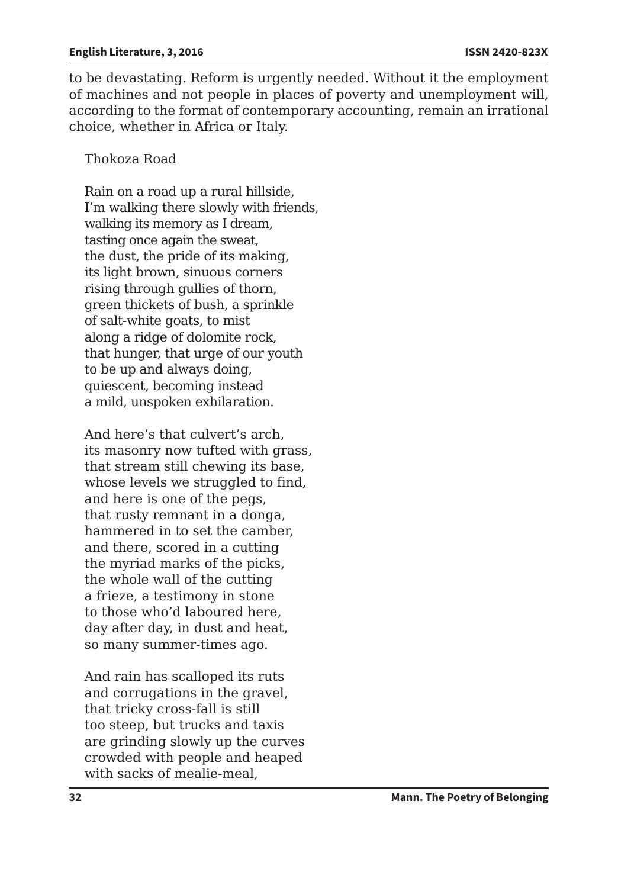to be devastating. Reform is urgently needed. Without it the employment of machines and not people in places of poverty and unemployment will, according to the format of contemporary accounting, remain an irrational choice, whether in Africa or Italy.

### Thokoza Road

Rain on a road up a rural hillside, I'm walking there slowly with friends, walking its memory as I dream, tasting once again the sweat, the dust, the pride of its making, its light brown, sinuous corners rising through gullies of thorn, green thickets of bush, a sprinkle of salt-white goats, to mist along a ridge of dolomite rock, that hunger, that urge of our youth to be up and always doing, quiescent, becoming instead a mild, unspoken exhilaration.

And here's that culvert's arch, its masonry now tufted with grass, that stream still chewing its base, whose levels we struggled to find, and here is one of the pegs, that rusty remnant in a donga, hammered in to set the camber, and there, scored in a cutting the myriad marks of the picks, the whole wall of the cutting a frieze, a testimony in stone to those who'd laboured here, day after day, in dust and heat, so many summer-times ago.

And rain has scalloped its ruts and corrugations in the gravel, that tricky cross-fall is still too steep, but trucks and taxis are grinding slowly up the curves crowded with people and heaped with sacks of mealie-meal.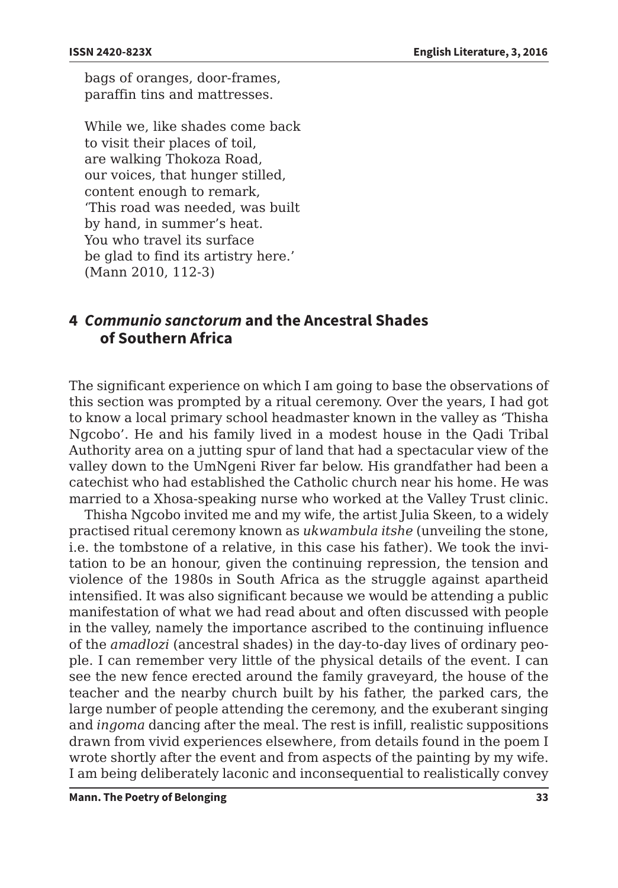bags of oranges, door-frames, paraffin tins and mattresses.

While we, like shades come back to visit their places of toil, are walking Thokoza Road, our voices, that hunger stilled, content enough to remark, 'This road was needed, was built by hand, in summer's heat. You who travel its surface be glad to find its artistry here.' (Mann 2010, 112-3)

# **4** *Communio sanctorum* **and the Ancestral Shades of Southern Africa**

The significant experience on which I am going to base the observations of this section was prompted by a ritual ceremony. Over the years, I had got to know a local primary school headmaster known in the valley as 'Thisha Ngcobo'. He and his family lived in a modest house in the Qadi Tribal Authority area on a jutting spur of land that had a spectacular view of the valley down to the UmNgeni River far below. His grandfather had been a catechist who had established the Catholic church near his home. He was married to a Xhosa-speaking nurse who worked at the Valley Trust clinic.

Thisha Ngcobo invited me and my wife, the artist Julia Skeen, to a widely practised ritual ceremony known as *ukwambula itshe* (unveiling the stone, i.e. the tombstone of a relative, in this case his father). We took the invitation to be an honour, given the continuing repression, the tension and violence of the 1980s in South Africa as the struggle against apartheid intensified. It was also significant because we would be attending a public manifestation of what we had read about and often discussed with people in the valley, namely the importance ascribed to the continuing influence of the *amadlozi* (ancestral shades) in the day-to-day lives of ordinary people. I can remember very little of the physical details of the event. I can see the new fence erected around the family graveyard, the house of the teacher and the nearby church built by his father, the parked cars, the large number of people attending the ceremony, and the exuberant singing and *ingoma* dancing after the meal. The rest is infill, realistic suppositions drawn from vivid experiences elsewhere, from details found in the poem I wrote shortly after the event and from aspects of the painting by my wife. I am being deliberately laconic and inconsequential to realistically convey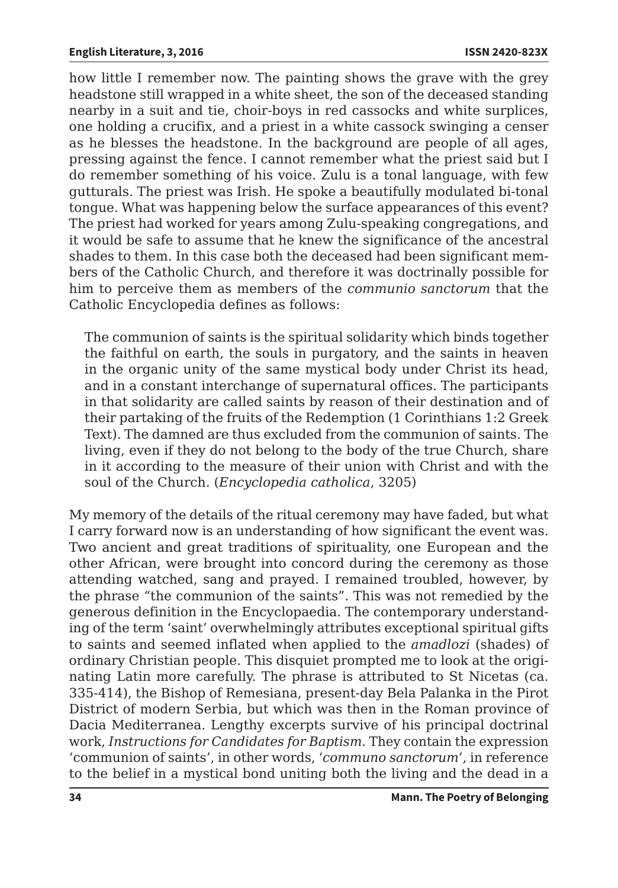how little I remember now. The painting shows the grave with the grey headstone still wrapped in a white sheet, the son of the deceased standing nearby in a suit and tie, choir-boys in red cassocks and white surplices, one holding a crucifix, and a priest in a white cassock swinging a censer as he blesses the headstone. In the background are people of all ages, pressing against the fence. I cannot remember what the priest said but I do remember something of his voice. Zulu is a tonal language, with few gutturals. The priest was Irish. He spoke a beautifully modulated bi-tonal tongue. What was happening below the surface appearances of this event? The priest had worked for years among Zulu-speaking congregations, and it would be safe to assume that he knew the significance of the ancestral shades to them. In this case both the deceased had been significant members of the Catholic Church, and therefore it was doctrinally possible for him to perceive them as members of the *communio sanctorum* that the Catholic Encyclopedia defines as follows:

The communion of saints is the spiritual solidarity which binds together the faithful on earth, the souls in purgatory, and the saints in heaven in the organic unity of the same mystical body under Christ its head, and in a constant interchange of supernatural offices. The participants in that solidarity are called saints by reason of their destination and of their partaking of the fruits of the Redemption (1 Corinthians 1:2 Greek Text). The damned are thus excluded from the communion of saints. The living, even if they do not belong to the body of the true Church, share in it according to the measure of their union with Christ and with the soul of the Church. (*Encyclopedia catholica*, 3205)

My memory of the details of the ritual ceremony may have faded, but what I carry forward now is an understanding of how significant the event was. Two ancient and great traditions of spirituality, one European and the other African, were brought into concord during the ceremony as those attending watched, sang and prayed. I remained troubled, however, by the phrase "the communion of the saints". This was not remedied by the generous definition in the Encyclopaedia. The contemporary understanding of the term 'saint' overwhelmingly attributes exceptional spiritual gifts to saints and seemed inflated when applied to the *amadlozi* (shades) of ordinary Christian people. This disquiet prompted me to look at the originating Latin more carefully. The phrase is attributed to St Nicetas (ca. 335-414), the Bishop of Remesiana, present-day Bela Palanka in the Pirot District of modern Serbia, but which was then in the Roman province of Dacia Mediterranea. Lengthy excerpts survive of his principal doctrinal work, *Instructions for Candidates for Baptism.* They contain the expression 'communion of saints', in other words, '*communo sanctorum*', in reference to the belief in a mystical bond uniting both the living and the dead in a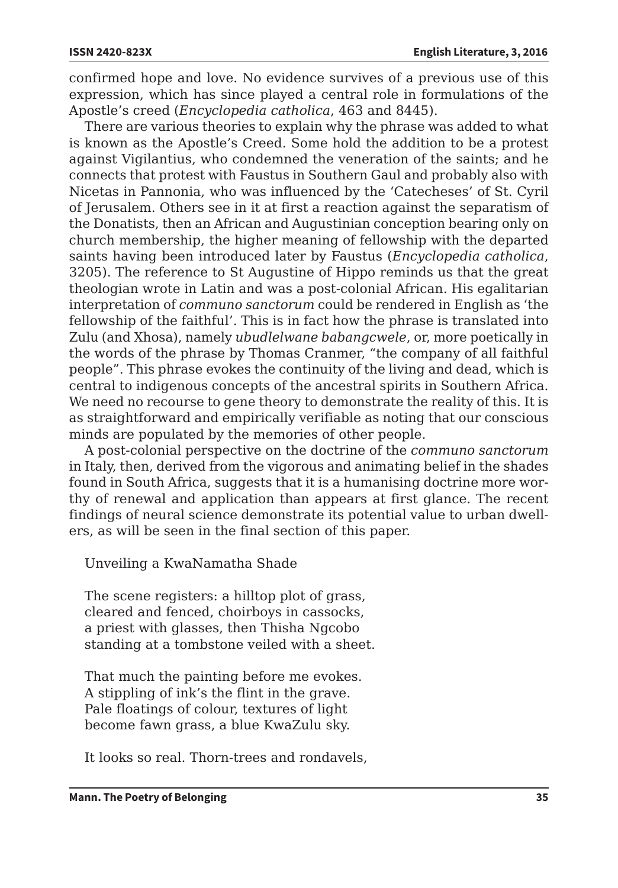confirmed hope and love. No evidence survives of a previous use of this expression, which has since played a central role in formulations of the Apostle's creed (*Encyclopedia catholica*, 463 and 8445).

There are various theories to explain why the phrase was added to what is known as the Apostle's Creed. Some hold the addition to be a protest against Vigilantius, who condemned the veneration of the saints; and he connects that protest with Faustus in Southern Gaul and probably also with Nicetas in Pannonia, who was influenced by the 'Catecheses' of St. Cyril of Jerusalem. Others see in it at first a reaction against the separatism of the Donatists, then an African and Augustinian conception bearing only on church membership, the higher meaning of fellowship with the departed saints having been introduced later by Faustus (*Encyclopedia catholica*, 3205). The reference to St Augustine of Hippo reminds us that the great theologian wrote in Latin and was a post-colonial African. His egalitarian interpretation of *communo sanctorum* could be rendered in English as 'the fellowship of the faithful'. This is in fact how the phrase is translated into Zulu (and Xhosa), namely *ubudlelwane babangcwele*, or, more poetically in the words of the phrase by Thomas Cranmer, "the company of all faithful people". This phrase evokes the continuity of the living and dead, which is central to indigenous concepts of the ancestral spirits in Southern Africa. We need no recourse to gene theory to demonstrate the reality of this. It is as straightforward and empirically verifiable as noting that our conscious minds are populated by the memories of other people.

A post-colonial perspective on the doctrine of the *communo sanctorum*  in Italy, then, derived from the vigorous and animating belief in the shades found in South Africa, suggests that it is a humanising doctrine more worthy of renewal and application than appears at first glance. The recent findings of neural science demonstrate its potential value to urban dwellers, as will be seen in the final section of this paper.

Unveiling a KwaNamatha Shade

The scene registers: a hilltop plot of grass, cleared and fenced, choirboys in cassocks, a priest with glasses, then Thisha Ngcobo standing at a tombstone veiled with a sheet.

That much the painting before me evokes. A stippling of ink's the flint in the grave. Pale floatings of colour, textures of light become fawn grass, a blue KwaZulu sky.

It looks so real. Thorn-trees and rondavels,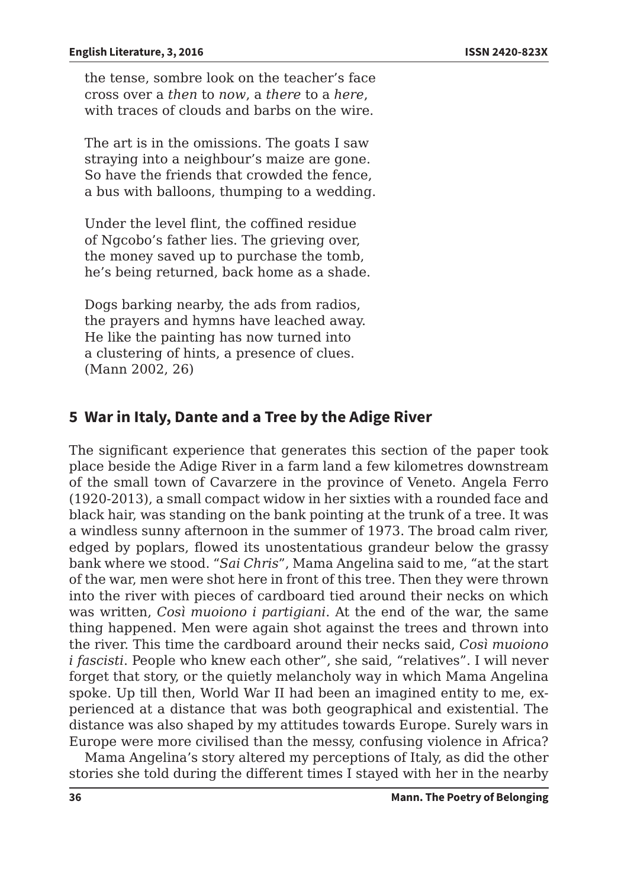the tense, sombre look on the teacher's face cross over a *then* to *now*, a *there* to a *here*, with traces of clouds and barbs on the wire.

The art is in the omissions. The goats I saw straying into a neighbour's maize are gone. So have the friends that crowded the fence, a bus with balloons, thumping to a wedding.

Under the level flint, the coffined residue of Ngcobo's father lies. The grieving over, the money saved up to purchase the tomb, he's being returned, back home as a shade.

Dogs barking nearby, the ads from radios, the prayers and hymns have leached away. He like the painting has now turned into a clustering of hints, a presence of clues. (Mann 2002, 26)

# **5 War in Italy, Dante and a Tree by the Adige River**

The significant experience that generates this section of the paper took place beside the Adige River in a farm land a few kilometres downstream of the small town of Cavarzere in the province of Veneto. Angela Ferro (1920-2013), a small compact widow in her sixties with a rounded face and black hair, was standing on the bank pointing at the trunk of a tree. It was a windless sunny afternoon in the summer of 1973. The broad calm river, edged by poplars, flowed its unostentatious grandeur below the grassy bank where we stood. "*Sai Chris*", Mama Angelina said to me, "at the start of the war, men were shot here in front of this tree. Then they were thrown into the river with pieces of cardboard tied around their necks on which was written, *Così muoiono i partigiani*. At the end of the war, the same thing happened. Men were again shot against the trees and thrown into the river. This time the cardboard around their necks said, *Così muoiono i fascisti*. People who knew each other", she said, "relatives". I will never forget that story, or the quietly melancholy way in which Mama Angelina spoke. Up till then, World War II had been an imagined entity to me, experienced at a distance that was both geographical and existential. The distance was also shaped by my attitudes towards Europe. Surely wars in Europe were more civilised than the messy, confusing violence in Africa?

Mama Angelina's story altered my perceptions of Italy, as did the other stories she told during the different times I stayed with her in the nearby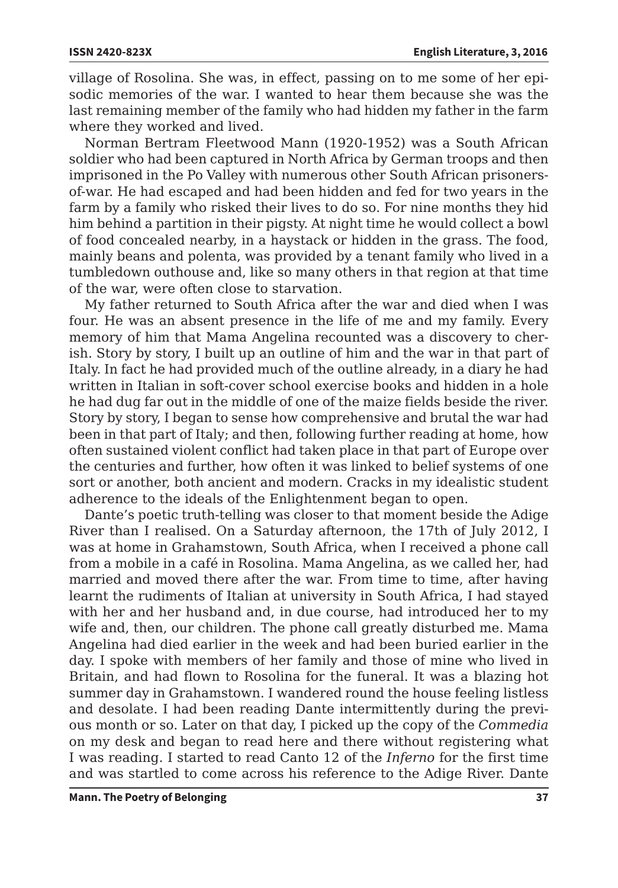village of Rosolina. She was, in effect, passing on to me some of her episodic memories of the war. I wanted to hear them because she was the last remaining member of the family who had hidden my father in the farm where they worked and lived.

Norman Bertram Fleetwood Mann (1920-1952) was a South African soldier who had been captured in North Africa by German troops and then imprisoned in the Po Valley with numerous other South African prisonersof-war. He had escaped and had been hidden and fed for two years in the farm by a family who risked their lives to do so. For nine months they hid him behind a partition in their pigsty. At night time he would collect a bowl of food concealed nearby, in a haystack or hidden in the grass. The food, mainly beans and polenta, was provided by a tenant family who lived in a tumbledown outhouse and, like so many others in that region at that time of the war, were often close to starvation.

My father returned to South Africa after the war and died when I was four. He was an absent presence in the life of me and my family. Every memory of him that Mama Angelina recounted was a discovery to cherish. Story by story, I built up an outline of him and the war in that part of Italy. In fact he had provided much of the outline already, in a diary he had written in Italian in soft-cover school exercise books and hidden in a hole he had dug far out in the middle of one of the maize fields beside the river. Story by story, I began to sense how comprehensive and brutal the war had been in that part of Italy; and then, following further reading at home, how often sustained violent conflict had taken place in that part of Europe over the centuries and further, how often it was linked to belief systems of one sort or another, both ancient and modern. Cracks in my idealistic student adherence to the ideals of the Enlightenment began to open.

Dante's poetic truth-telling was closer to that moment beside the Adige River than I realised. On a Saturday afternoon, the 17th of July 2012, I was at home in Grahamstown, South Africa, when I received a phone call from a mobile in a café in Rosolina. Mama Angelina, as we called her, had married and moved there after the war. From time to time, after having learnt the rudiments of Italian at university in South Africa, I had stayed with her and her husband and, in due course, had introduced her to my wife and, then, our children. The phone call greatly disturbed me. Mama Angelina had died earlier in the week and had been buried earlier in the day. I spoke with members of her family and those of mine who lived in Britain, and had flown to Rosolina for the funeral. It was a blazing hot summer day in Grahamstown. I wandered round the house feeling listless and desolate. I had been reading Dante intermittently during the previous month or so. Later on that day, I picked up the copy of the *Commedia*  on my desk and began to read here and there without registering what I was reading. I started to read Canto 12 of the *Inferno* for the first time and was startled to come across his reference to the Adige River. Dante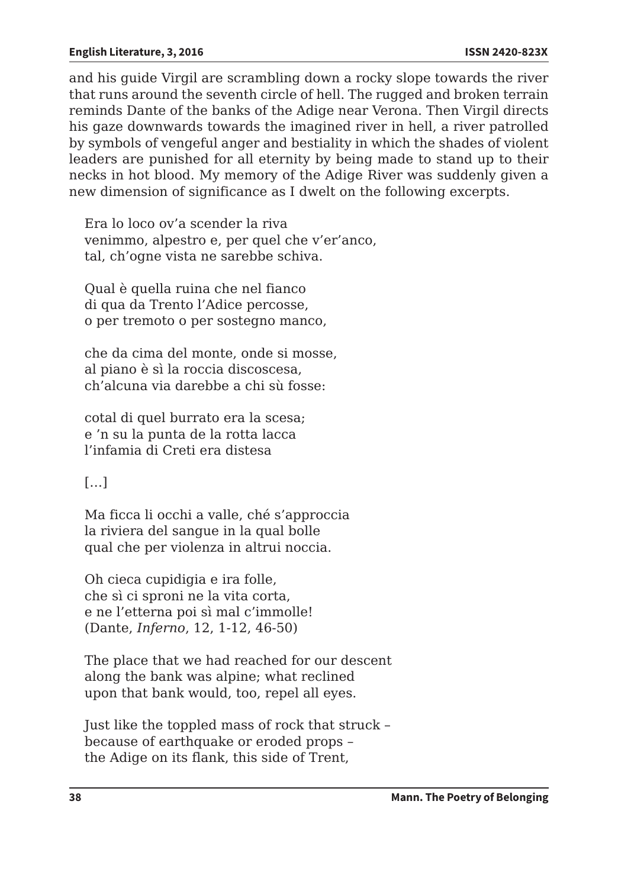and his guide Virgil are scrambling down a rocky slope towards the river that runs around the seventh circle of hell. The rugged and broken terrain reminds Dante of the banks of the Adige near Verona. Then Virgil directs his gaze downwards towards the imagined river in hell, a river patrolled by symbols of vengeful anger and bestiality in which the shades of violent leaders are punished for all eternity by being made to stand up to their necks in hot blood. My memory of the Adige River was suddenly given a new dimension of significance as I dwelt on the following excerpts.

Era lo loco ov'a scender la riva venimmo, alpestro e, per quel che v'er'anco, tal, ch'ogne vista ne sarebbe schiva.

Qual è quella ruina che nel fianco di qua da Trento l'Adice percosse, o per tremoto o per sostegno manco,

che da cima del monte, onde si mosse, al piano è sì la roccia discoscesa, ch'alcuna via darebbe a chi sù fosse:

cotal di quel burrato era la scesa; e 'n su la punta de la rotta lacca l'infamia di Creti era distesa

 $[...]$ 

Ma ficca li occhi a valle, ché s'approccia la riviera del sangue in la qual bolle qual che per violenza in altrui noccia.

Oh cieca cupidigia e ira folle, che sì ci sproni ne la vita corta, e ne l'etterna poi sì mal c'immolle! (Dante, *Inferno*, 12, 1-12, 46-50)

The place that we had reached for our descent along the bank was alpine; what reclined upon that bank would, too, repel all eyes.

Just like the toppled mass of rock that struck – because of earthquake or eroded props – the Adige on its flank, this side of Trent,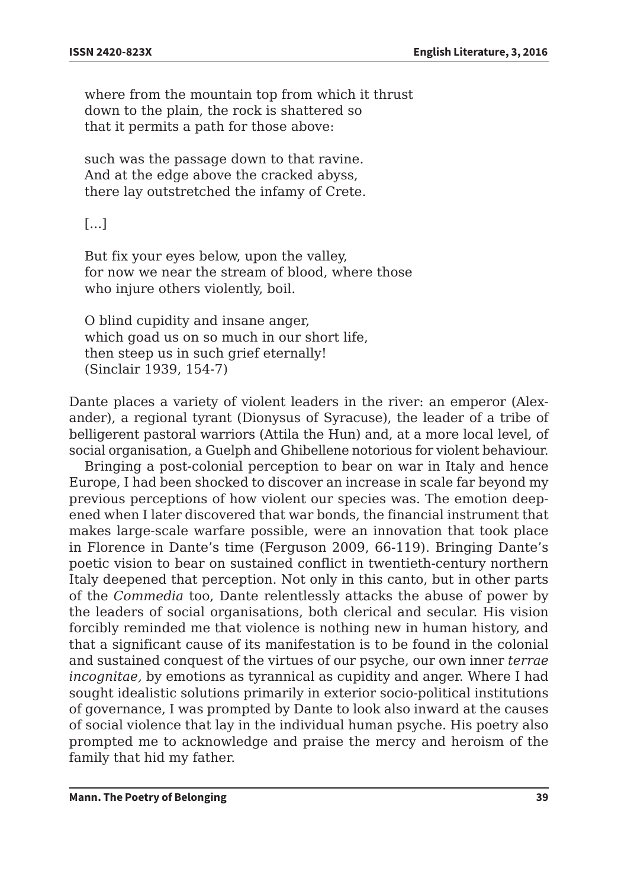where from the mountain top from which it thrust down to the plain, the rock is shattered so that it permits a path for those above:

such was the passage down to that ravine. And at the edge above the cracked abyss, there lay outstretched the infamy of Crete.

[...]

But fix your eyes below, upon the valley, for now we near the stream of blood, where those who injure others violently, boil.

O blind cupidity and insane anger, which goad us on so much in our short life, then steep us in such grief eternally! (Sinclair 1939, 154-7)

Dante places a variety of violent leaders in the river: an emperor (Alexander), a regional tyrant (Dionysus of Syracuse), the leader of a tribe of belligerent pastoral warriors (Attila the Hun) and, at a more local level, of social organisation, a Guelph and Ghibellene notorious for violent behaviour.

Bringing a post-colonial perception to bear on war in Italy and hence Europe, I had been shocked to discover an increase in scale far beyond my previous perceptions of how violent our species was. The emotion deepened when I later discovered that war bonds, the financial instrument that makes large-scale warfare possible, were an innovation that took place in Florence in Dante's time (Ferguson 2009, 66-119). Bringing Dante's poetic vision to bear on sustained conflict in twentieth-century northern Italy deepened that perception. Not only in this canto, but in other parts of the *Commedia* too, Dante relentlessly attacks the abuse of power by the leaders of social organisations, both clerical and secular. His vision forcibly reminded me that violence is nothing new in human history, and that a significant cause of its manifestation is to be found in the colonial and sustained conquest of the virtues of our psyche, our own inner *terrae incognitae,* by emotions as tyrannical as cupidity and anger. Where I had sought idealistic solutions primarily in exterior socio-political institutions of governance, I was prompted by Dante to look also inward at the causes of social violence that lay in the individual human psyche. His poetry also prompted me to acknowledge and praise the mercy and heroism of the family that hid my father.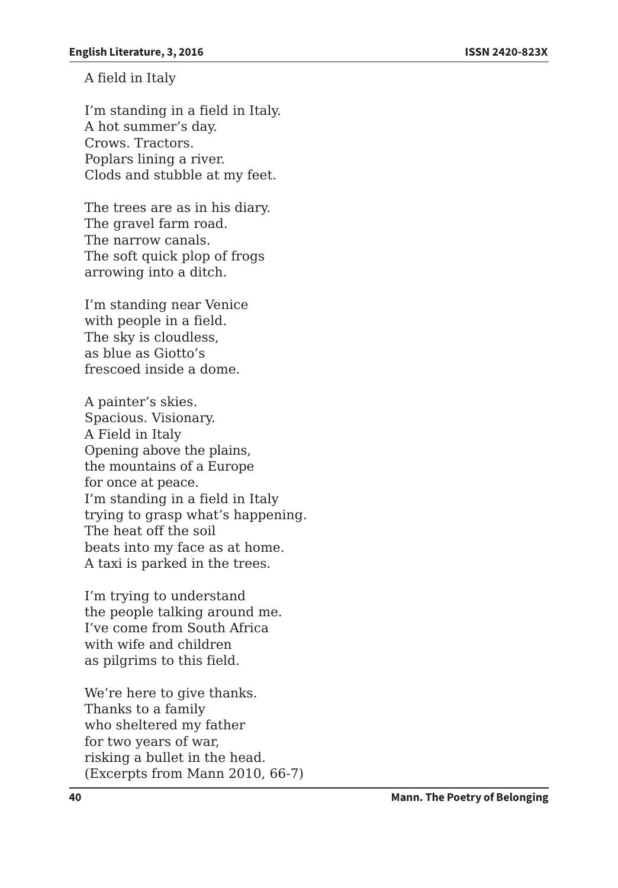A field in Italy

I'm standing in a field in Italy. A hot summer's day. Crows. Tractors. Poplars lining a river. Clods and stubble at my feet.

The trees are as in his diary. The gravel farm road. The narrow canals. The soft quick plop of frogs arrowing into a ditch.

I'm standing near Venice with people in a field. The sky is cloudless, as blue as Giotto's frescoed inside a dome.

A painter's skies. Spacious. Visionary. A Field in Italy Opening above the plains, the mountains of a Europe for once at peace. I'm standing in a field in Italy trying to grasp what's happening. The heat off the soil beats into my face as at home. A taxi is parked in the trees.

I'm trying to understand the people talking around me. I've come from South Africa with wife and children as pilgrims to this field.

We're here to give thanks. Thanks to a family who sheltered my father for two years of war, risking a bullet in the head. (Excerpts from Mann 2010, 66-7)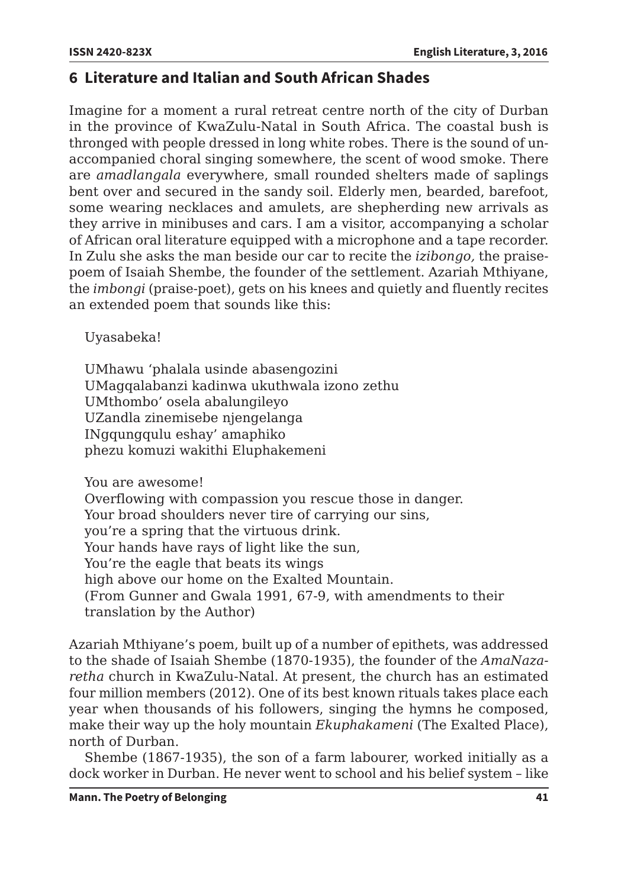# **6 Literature and Italian and South African Shades**

Imagine for a moment a rural retreat centre north of the city of Durban in the province of KwaZulu-Natal in South Africa. The coastal bush is thronged with people dressed in long white robes. There is the sound of unaccompanied choral singing somewhere, the scent of wood smoke. There are *amadlangala* everywhere, small rounded shelters made of saplings bent over and secured in the sandy soil. Elderly men, bearded, barefoot, some wearing necklaces and amulets, are shepherding new arrivals as they arrive in minibuses and cars. I am a visitor, accompanying a scholar of African oral literature equipped with a microphone and a tape recorder. In Zulu she asks the man beside our car to recite the *izibongo,* the praisepoem of Isaiah Shembe, the founder of the settlement. Azariah Mthiyane, the *imbongi* (praise-poet), gets on his knees and quietly and fluently recites an extended poem that sounds like this:

Uyasabeka!

UMhawu 'phalala usinde abasengozini UMagqalabanzi kadinwa ukuthwala izono zethu UMthombo' osela abalungileyo UZandla zinemisebe njengelanga INgqungqulu eshay' amaphiko phezu komuzi wakithi Eluphakemeni

You are awesome!

Overflowing with compassion you rescue those in danger. Your broad shoulders never tire of carrying our sins, you're a spring that the virtuous drink. Your hands have rays of light like the sun, You're the eagle that beats its wings high above our home on the Exalted Mountain. (From Gunner and Gwala 1991, 67-9, with amendments to their translation by the Author)

Azariah Mthiyane's poem, built up of a number of epithets, was addressed to the shade of Isaiah Shembe (1870-1935), the founder of the *AmaNazaretha* church in KwaZulu-Natal. At present, the church has an estimated four million members (2012). One of its best known rituals takes place each year when thousands of his followers, singing the hymns he composed, make their way up the holy mountain *Ekuphakameni* (The Exalted Place), north of Durban.

Shembe (1867-1935), the son of a farm labourer, worked initially as a dock worker in Durban. He never went to school and his belief system – like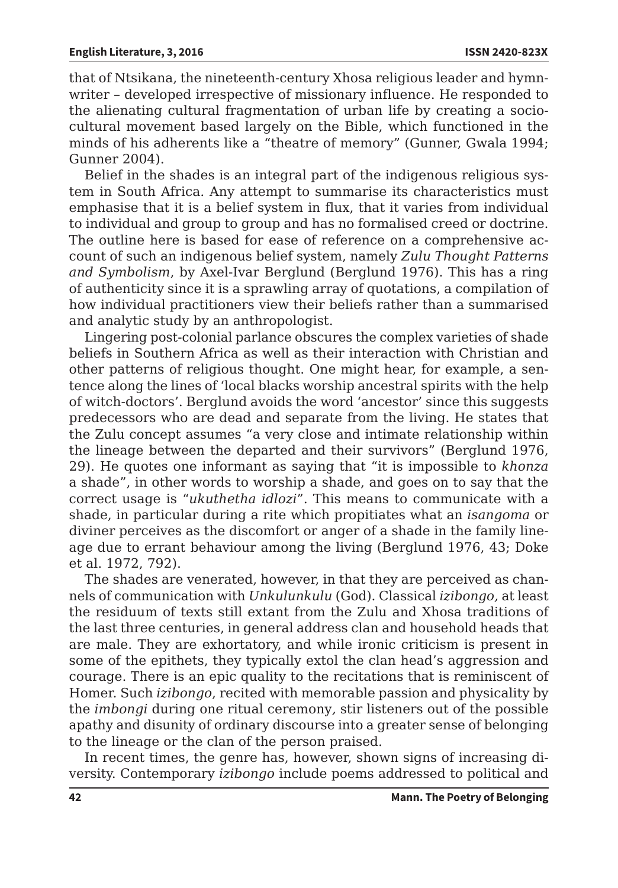that of Ntsikana, the nineteenth-century Xhosa religious leader and hymnwriter – developed irrespective of missionary influence. He responded to the alienating cultural fragmentation of urban life by creating a sociocultural movement based largely on the Bible, which functioned in the minds of his adherents like a "theatre of memory" (Gunner, Gwala 1994; Gunner 2004).

Belief in the shades is an integral part of the indigenous religious system in South Africa. Any attempt to summarise its characteristics must emphasise that it is a belief system in flux, that it varies from individual to individual and group to group and has no formalised creed or doctrine. The outline here is based for ease of reference on a comprehensive account of such an indigenous belief system, namely *Zulu Thought Patterns and Symbolism*, by Axel-Ivar Berglund (Berglund 1976). This has a ring of authenticity since it is a sprawling array of quotations, a compilation of how individual practitioners view their beliefs rather than a summarised and analytic study by an anthropologist.

Lingering post-colonial parlance obscures the complex varieties of shade beliefs in Southern Africa as well as their interaction with Christian and other patterns of religious thought. One might hear, for example, a sentence along the lines of 'local blacks worship ancestral spirits with the help of witch-doctors'. Berglund avoids the word 'ancestor' since this suggests predecessors who are dead and separate from the living. He states that the Zulu concept assumes "a very close and intimate relationship within the lineage between the departed and their survivors" (Berglund 1976, 29). He quotes one informant as saying that "it is impossible to *khonza*  a shade", in other words to worship a shade, and goes on to say that the correct usage is "*ukuthetha idlozi*"*.* This means to communicate with a shade, in particular during a rite which propitiates what an *isangoma* or diviner perceives as the discomfort or anger of a shade in the family lineage due to errant behaviour among the living (Berglund 1976, 43; Doke et al. 1972, 792).

The shades are venerated, however, in that they are perceived as channels of communication with *Unkulunkulu* (God). Classical *izibongo,* at least the residuum of texts still extant from the Zulu and Xhosa traditions of the last three centuries, in general address clan and household heads that are male. They are exhortatory, and while ironic criticism is present in some of the epithets, they typically extol the clan head's aggression and courage. There is an epic quality to the recitations that is reminiscent of Homer. Such *izibongo*, recited with memorable passion and physicality by the *imbongi* during one ritual ceremony*,* stir listeners out of the possible apathy and disunity of ordinary discourse into a greater sense of belonging to the lineage or the clan of the person praised.

In recent times, the genre has, however, shown signs of increasing diversity. Contemporary *izibongo* include poems addressed to political and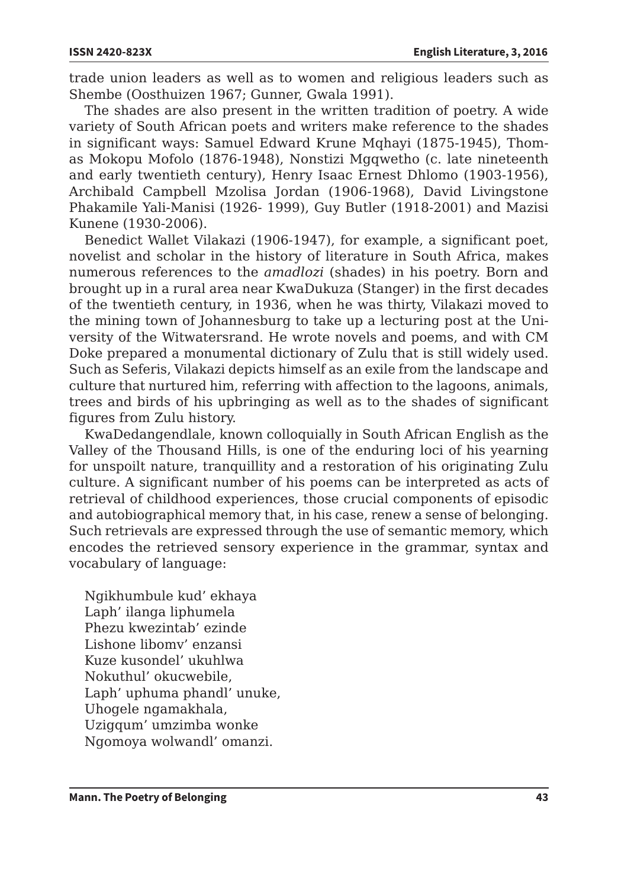trade union leaders as well as to women and religious leaders such as Shembe (Oosthuizen 1967; Gunner, Gwala 1991).

The shades are also present in the written tradition of poetry. A wide variety of South African poets and writers make reference to the shades in significant ways: Samuel Edward Krune Mqhayi (1875-1945), Thomas Mokopu Mofolo (1876-1948), Nonstizi Mgqwetho (c. late nineteenth and early twentieth century), Henry Isaac Ernest Dhlomo (1903-1956), Archibald Campbell Mzolisa Jordan (1906-1968), David Livingstone Phakamile Yali-Manisi (1926- 1999), Guy Butler (1918-2001) and Mazisi Kunene (1930-2006).

Benedict Wallet Vilakazi (1906-1947), for example, a significant poet, novelist and scholar in the history of literature in South Africa, makes numerous references to the *amadlozi* (shades) in his poetry. Born and brought up in a rural area near KwaDukuza (Stanger) in the first decades of the twentieth century, in 1936, when he was thirty, Vilakazi moved to the mining town of Johannesburg to take up a lecturing post at the University of the Witwatersrand. He wrote novels and poems, and with CM Doke prepared a monumental dictionary of Zulu that is still widely used. Such as Seferis, Vilakazi depicts himself as an exile from the landscape and culture that nurtured him, referring with affection to the lagoons, animals, trees and birds of his upbringing as well as to the shades of significant figures from Zulu history.

KwaDedangendlale, known colloquially in South African English as the Valley of the Thousand Hills, is one of the enduring loci of his yearning for unspoilt nature, tranquillity and a restoration of his originating Zulu culture. A significant number of his poems can be interpreted as acts of retrieval of childhood experiences, those crucial components of episodic and autobiographical memory that, in his case, renew a sense of belonging. Such retrievals are expressed through the use of semantic memory, which encodes the retrieved sensory experience in the grammar, syntax and vocabulary of language:

Ngikhumbule kud' ekhaya Laph' ilanga liphumela Phezu kwezintab' ezinde Lishone libomv' enzansi Kuze kusondel' ukuhlwa Nokuthul' okucwebile, Laph' uphuma phandl' unuke, Uhogele ngamakhala, Uzigqum' umzimba wonke Ngomoya wolwandl' omanzi.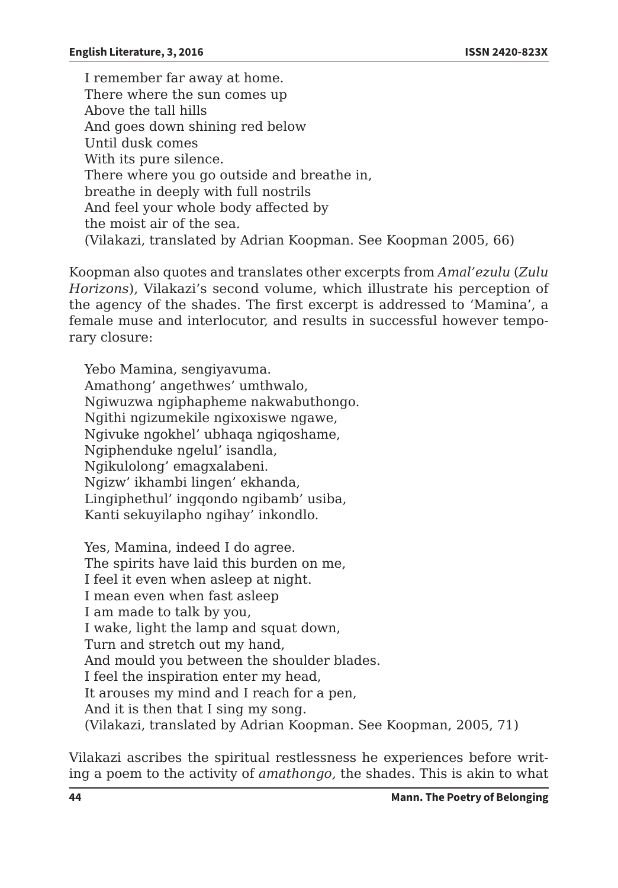I remember far away at home. There where the sun comes up Above the tall hills And goes down shining red below Until dusk comes With its pure silence. There where you go outside and breathe in, breathe in deeply with full nostrils And feel your whole body affected by the moist air of the sea*.*  (Vilakazi, translated by Adrian Koopman. See Koopman 2005, 66)

Koopman also quotes and translates other excerpts from *Amal'ezulu* (*Zulu Horizons*), Vilakazi's second volume, which illustrate his perception of the agency of the shades. The first excerpt is addressed to 'Mamina', a female muse and interlocutor, and results in successful however temporary closure:

Yebo Mamina, sengiyavuma. Amathong' angethwes' umthwalo, Ngiwuzwa ngiphapheme nakwabuthongo. Ngithi ngizumekile ngixoxiswe ngawe, Ngivuke ngokhel' ubhaqa ngiqoshame, Ngiphenduke ngelul' isandla, Ngikulolong' emagxalabeni. Ngizw' ikhambi lingen' ekhanda, Lingiphethul' ingqondo ngibamb' usiba, Kanti sekuyilapho ngihay' inkondlo.

Yes, Mamina, indeed I do agree. The spirits have laid this burden on me, I feel it even when asleep at night. I mean even when fast asleep I am made to talk by you, I wake, light the lamp and squat down, Turn and stretch out my hand, And mould you between the shoulder blades. I feel the inspiration enter my head, It arouses my mind and I reach for a pen, And it is then that I sing my song. (Vilakazi, translated by Adrian Koopman. See Koopman, 2005, 71)

Vilakazi ascribes the spiritual restlessness he experiences before writing a poem to the activity of *amathongo,* the shades. This is akin to what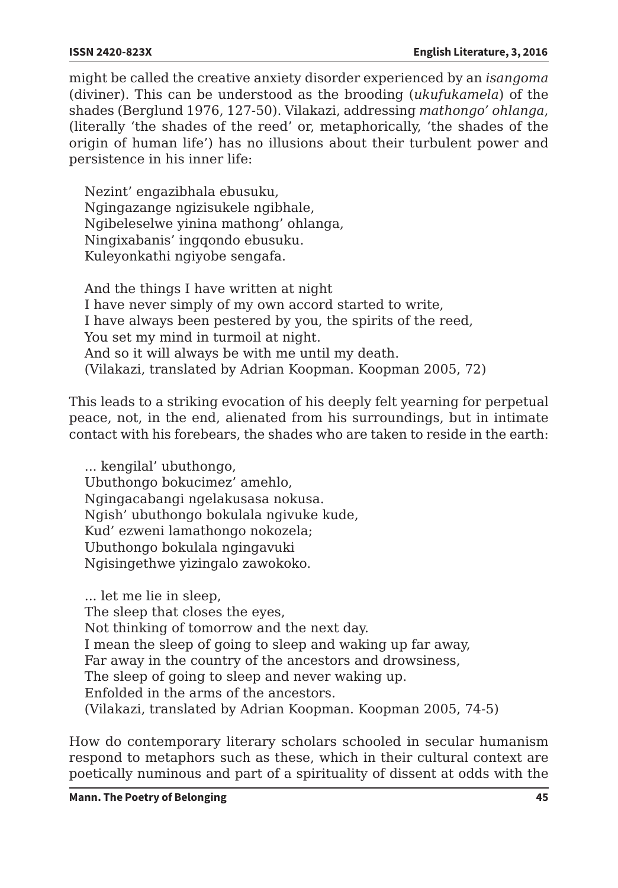might be called the creative anxiety disorder experienced by an *isangoma*  (diviner). This can be understood as the brooding (*ukufukamela*) of the shades (Berglund 1976, 127-50). Vilakazi, addressing *mathongo' ohlanga*, (literally 'the shades of the reed' or, metaphorically, 'the shades of the origin of human life') has no illusions about their turbulent power and persistence in his inner life:

Nezint' engazibhala ebusuku, Ngingazange ngizisukele ngibhale, Ngibeleselwe yinina mathong' ohlanga, Ningixabanis' ingqondo ebusuku. Kuleyonkathi ngiyobe sengafa.

And the things I have written at night I have never simply of my own accord started to write, I have always been pestered by you, the spirits of the reed, You set my mind in turmoil at night. And so it will always be with me until my death. (Vilakazi, translated by Adrian Koopman. Koopman 2005, 72)

This leads to a striking evocation of his deeply felt yearning for perpetual peace, not, in the end, alienated from his surroundings, but in intimate contact with his forebears, the shades who are taken to reside in the earth:

... kengilal' ubuthongo, Ubuthongo bokucimez' amehlo, Ngingacabangi ngelakusasa nokusa. Ngish' ubuthongo bokulala ngivuke kude, Kud' ezweni lamathongo nokozela; Ubuthongo bokulala ngingavuki Ngisingethwe yizingalo zawokoko.

... let me lie in sleep, The sleep that closes the eyes, Not thinking of tomorrow and the next day. I mean the sleep of going to sleep and waking up far away, Far away in the country of the ancestors and drowsiness, The sleep of going to sleep and never waking up. Enfolded in the arms of the ancestors. (Vilakazi, translated by Adrian Koopman. Koopman 2005, 74-5)

How do contemporary literary scholars schooled in secular humanism respond to metaphors such as these, which in their cultural context are poetically numinous and part of a spirituality of dissent at odds with the

**Mann. The Poetry of Belonging 45**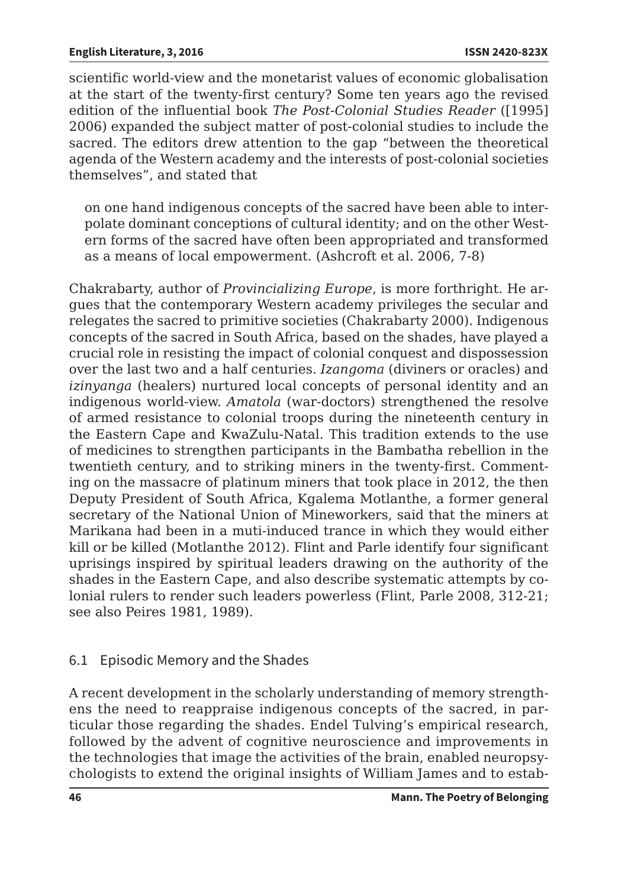scientific world-view and the monetarist values of economic globalisation at the start of the twenty-first century? Some ten years ago the revised edition of the influential book *The Post-Colonial Studies Reader* ([1995] 2006) expanded the subject matter of post-colonial studies to include the sacred. The editors drew attention to the gap "between the theoretical agenda of the Western academy and the interests of post-colonial societies themselves", and stated that

on one hand indigenous concepts of the sacred have been able to interpolate dominant conceptions of cultural identity; and on the other Western forms of the sacred have often been appropriated and transformed as a means of local empowerment. (Ashcroft et al. 2006, 7-8)

Chakrabarty, author of *Provincializing Europe*, is more forthright. He argues that the contemporary Western academy privileges the secular and relegates the sacred to primitive societies (Chakrabarty 2000). Indigenous concepts of the sacred in South Africa, based on the shades, have played a crucial role in resisting the impact of colonial conquest and dispossession over the last two and a half centuries. *Izangoma* (diviners or oracles) and *izinyanga* (healers) nurtured local concepts of personal identity and an indigenous world-view. *Amatola* (war-doctors) strengthened the resolve of armed resistance to colonial troops during the nineteenth century in the Eastern Cape and KwaZulu-Natal. This tradition extends to the use of medicines to strengthen participants in the Bambatha rebellion in the twentieth century, and to striking miners in the twenty-first. Commenting on the massacre of platinum miners that took place in 2012, the then Deputy President of South Africa, Kgalema Motlanthe, a former general secretary of the National Union of Mineworkers, said that the miners at Marikana had been in a muti-induced trance in which they would either kill or be killed (Motlanthe 2012). Flint and Parle identify four significant uprisings inspired by spiritual leaders drawing on the authority of the shades in the Eastern Cape, and also describe systematic attempts by colonial rulers to render such leaders powerless (Flint, Parle 2008, 312-21; see also Peires 1981, 1989).

### 6.1 Episodic Memory and the Shades

A recent development in the scholarly understanding of memory strengthens the need to reappraise indigenous concepts of the sacred, in particular those regarding the shades. Endel Tulving's empirical research, followed by the advent of cognitive neuroscience and improvements in the technologies that image the activities of the brain, enabled neuropsychologists to extend the original insights of William James and to estab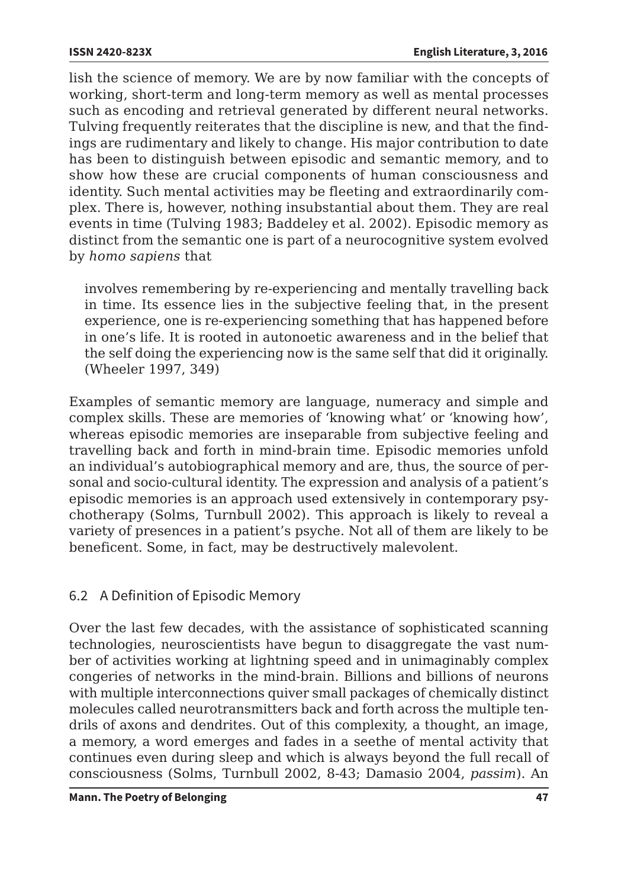lish the science of memory. We are by now familiar with the concepts of working, short-term and long-term memory as well as mental processes such as encoding and retrieval generated by different neural networks. Tulving frequently reiterates that the discipline is new, and that the findings are rudimentary and likely to change. His major contribution to date has been to distinguish between episodic and semantic memory, and to show how these are crucial components of human consciousness and identity. Such mental activities may be fleeting and extraordinarily complex. There is, however, nothing insubstantial about them. They are real events in time (Tulving 1983; Baddeley et al. 2002). Episodic memory as distinct from the semantic one is part of a neurocognitive system evolved by *homo sapiens* that

involves remembering by re-experiencing and mentally travelling back in time. Its essence lies in the subjective feeling that, in the present experience, one is re-experiencing something that has happened before in one's life. It is rooted in autonoetic awareness and in the belief that the self doing the experiencing now is the same self that did it originally. (Wheeler 1997, 349)

Examples of semantic memory are language, numeracy and simple and complex skills. These are memories of 'knowing what' or 'knowing how', whereas episodic memories are inseparable from subjective feeling and travelling back and forth in mind-brain time. Episodic memories unfold an individual's autobiographical memory and are, thus, the source of personal and socio-cultural identity. The expression and analysis of a patient's episodic memories is an approach used extensively in contemporary psychotherapy (Solms, Turnbull 2002). This approach is likely to reveal a variety of presences in a patient's psyche. Not all of them are likely to be beneficent. Some, in fact, may be destructively malevolent.

# 6.2 A Definition of Episodic Memory

Over the last few decades, with the assistance of sophisticated scanning technologies, neuroscientists have begun to disaggregate the vast number of activities working at lightning speed and in unimaginably complex congeries of networks in the mind-brain. Billions and billions of neurons with multiple interconnections quiver small packages of chemically distinct molecules called neurotransmitters back and forth across the multiple tendrils of axons and dendrites. Out of this complexity, a thought, an image, a memory, a word emerges and fades in a seethe of mental activity that continues even during sleep and which is always beyond the full recall of consciousness (Solms, Turnbull 2002, 8-43; Damasio 2004, *passim*). An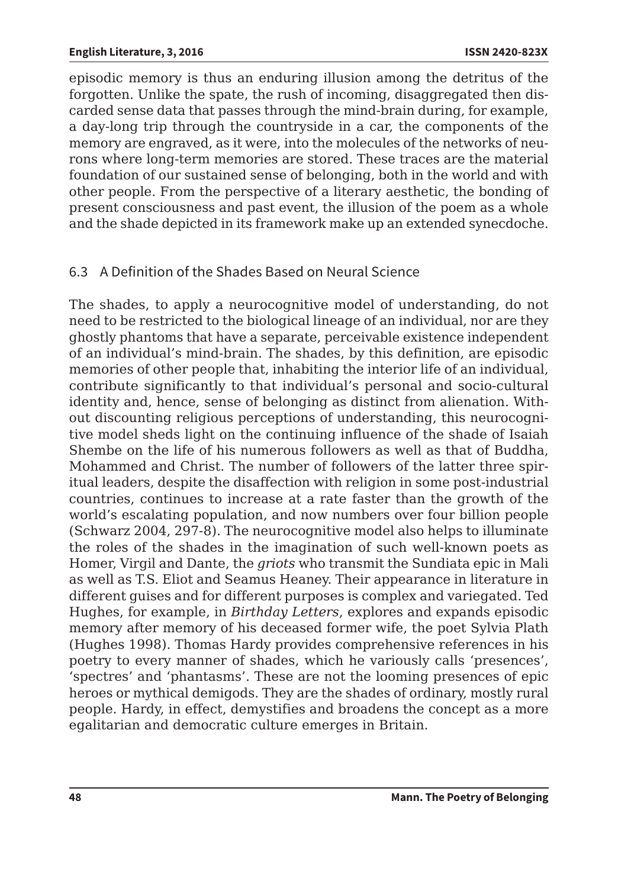episodic memory is thus an enduring illusion among the detritus of the forgotten. Unlike the spate, the rush of incoming, disaggregated then discarded sense data that passes through the mind-brain during, for example, a day-long trip through the countryside in a car, the components of the memory are engraved, as it were, into the molecules of the networks of neurons where long-term memories are stored. These traces are the material foundation of our sustained sense of belonging, both in the world and with other people. From the perspective of a literary aesthetic, the bonding of present consciousness and past event, the illusion of the poem as a whole and the shade depicted in its framework make up an extended synecdoche.

# 6.3 A Definition of the Shades Based on Neural Science

The shades, to apply a neurocognitive model of understanding, do not need to be restricted to the biological lineage of an individual, nor are they ghostly phantoms that have a separate, perceivable existence independent of an individual's mind-brain. The shades, by this definition, are episodic memories of other people that, inhabiting the interior life of an individual, contribute significantly to that individual's personal and socio-cultural identity and, hence, sense of belonging as distinct from alienation*.* Without discounting religious perceptions of understanding, this neurocognitive model sheds light on the continuing influence of the shade of Isaiah Shembe on the life of his numerous followers as well as that of Buddha, Mohammed and Christ. The number of followers of the latter three spiritual leaders, despite the disaffection with religion in some post-industrial countries, continues to increase at a rate faster than the growth of the world's escalating population, and now numbers over four billion people (Schwarz 2004, 297-8). The neurocognitive model also helps to illuminate the roles of the shades in the imagination of such well-known poets as Homer, Virgil and Dante, the *griots* who transmit the Sundiata epic in Mali as well as T.S. Eliot and Seamus Heaney. Their appearance in literature in different guises and for different purposes is complex and variegated. Ted Hughes, for example, in *Birthday Letters*, explores and expands episodic memory after memory of his deceased former wife, the poet Sylvia Plath (Hughes 1998). Thomas Hardy provides comprehensive references in his poetry to every manner of shades, which he variously calls 'presences', 'spectres' and 'phantasms'. These are not the looming presences of epic heroes or mythical demigods. They are the shades of ordinary, mostly rural people. Hardy, in effect, demystifies and broadens the concept as a more egalitarian and democratic culture emerges in Britain.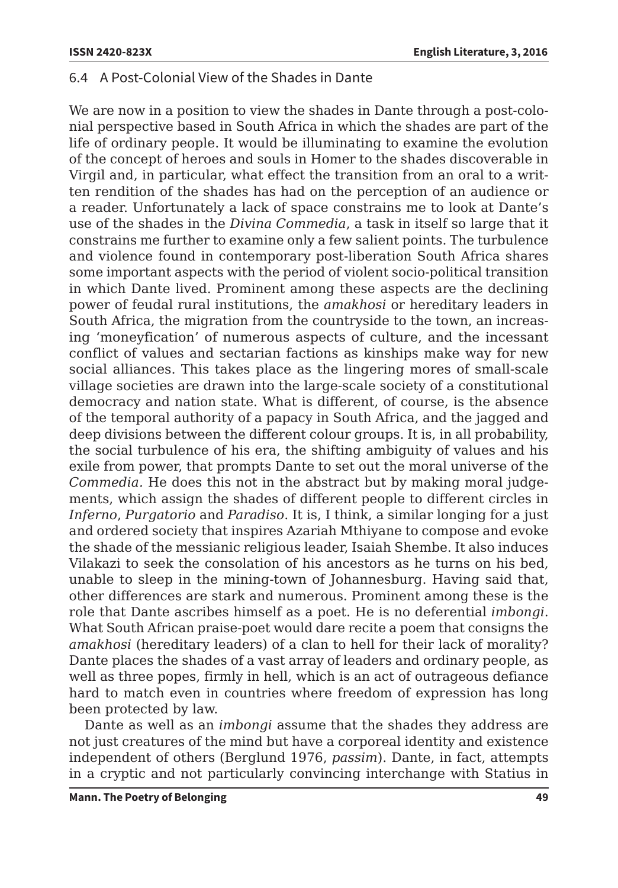### 6.4 A Post-Colonial View of the Shades in Dante

We are now in a position to view the shades in Dante through a post-colonial perspective based in South Africa in which the shades are part of the life of ordinary people. It would be illuminating to examine the evolution of the concept of heroes and souls in Homer to the shades discoverable in Virgil and, in particular, what effect the transition from an oral to a written rendition of the shades has had on the perception of an audience or a reader. Unfortunately a lack of space constrains me to look at Dante's use of the shades in the *Divina Commedia*, a task in itself so large that it constrains me further to examine only a few salient points. The turbulence and violence found in contemporary post-liberation South Africa shares some important aspects with the period of violent socio-political transition in which Dante lived. Prominent among these aspects are the declining power of feudal rural institutions, the *amakhosi* or hereditary leaders in South Africa, the migration from the countryside to the town, an increasing 'moneyfication' of numerous aspects of culture, and the incessant conflict of values and sectarian factions as kinships make way for new social alliances. This takes place as the lingering mores of small-scale village societies are drawn into the large-scale society of a constitutional democracy and nation state. What is different, of course, is the absence of the temporal authority of a papacy in South Africa, and the jagged and deep divisions between the different colour groups. It is, in all probability, the social turbulence of his era, the shifting ambiguity of values and his exile from power, that prompts Dante to set out the moral universe of the *Commedia.* He does this not in the abstract but by making moral judgements, which assign the shades of different people to different circles in *Inferno*, *Purgatorio* and *Paradiso*. It is, I think, a similar longing for a just and ordered society that inspires Azariah Mthiyane to compose and evoke the shade of the messianic religious leader, Isaiah Shembe. It also induces Vilakazi to seek the consolation of his ancestors as he turns on his bed, unable to sleep in the mining-town of Johannesburg. Having said that, other differences are stark and numerous. Prominent among these is the role that Dante ascribes himself as a poet. He is no deferential *imbongi*. What South African praise-poet would dare recite a poem that consigns the *amakhosi* (hereditary leaders) of a clan to hell for their lack of morality? Dante places the shades of a vast array of leaders and ordinary people, as well as three popes, firmly in hell, which is an act of outrageous defiance hard to match even in countries where freedom of expression has long been protected by law.

Dante as well as an *imbongi* assume that the shades they address are not just creatures of the mind but have a corporeal identity and existence independent of others (Berglund 1976, *passim*). Dante, in fact, attempts in a cryptic and not particularly convincing interchange with Statius in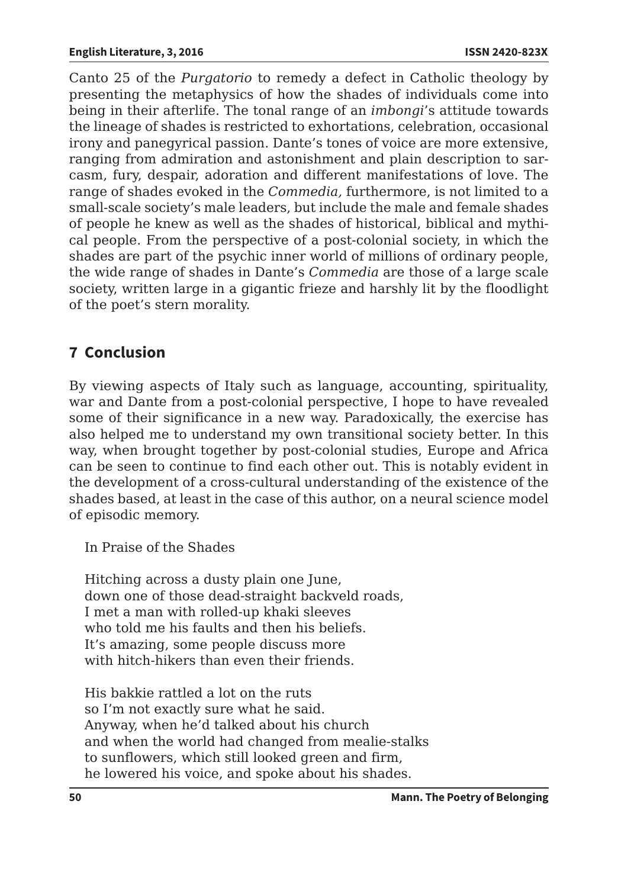Canto 25 of the *Purgatorio* to remedy a defect in Catholic theology by presenting the metaphysics of how the shades of individuals come into being in their afterlife. The tonal range of an *imbongi*'s attitude towards the lineage of shades is restricted to exhortations, celebration, occasional irony and panegyrical passion. Dante's tones of voice are more extensive, ranging from admiration and astonishment and plain description to sarcasm, fury, despair, adoration and different manifestations of love. The range of shades evoked in the *Commedia,* furthermore, is not limited to a small-scale society's male leaders, but include the male and female shades of people he knew as well as the shades of historical, biblical and mythical people. From the perspective of a post-colonial society, in which the shades are part of the psychic inner world of millions of ordinary people, the wide range of shades in Dante's *Commedia* are those of a large scale society, written large in a gigantic frieze and harshly lit by the floodlight of the poet's stern morality.

# **7 Conclusion**

By viewing aspects of Italy such as language, accounting, spirituality, war and Dante from a post-colonial perspective, I hope to have revealed some of their significance in a new way. Paradoxically, the exercise has also helped me to understand my own transitional society better. In this way, when brought together by post-colonial studies, Europe and Africa can be seen to continue to find each other out. This is notably evident in the development of a cross-cultural understanding of the existence of the shades based, at least in the case of this author, on a neural science model of episodic memory.

In Praise of the Shades

Hitching across a dusty plain one June, down one of those dead-straight backveld roads, I met a man with rolled-up khaki sleeves who told me his faults and then his beliefs. It's amazing, some people discuss more with hitch-hikers than even their friends.

His bakkie rattled a lot on the ruts so I'm not exactly sure what he said. Anyway, when he'd talked about his church and when the world had changed from mealie-stalks to sunflowers, which still looked green and firm, he lowered his voice, and spoke about his shades.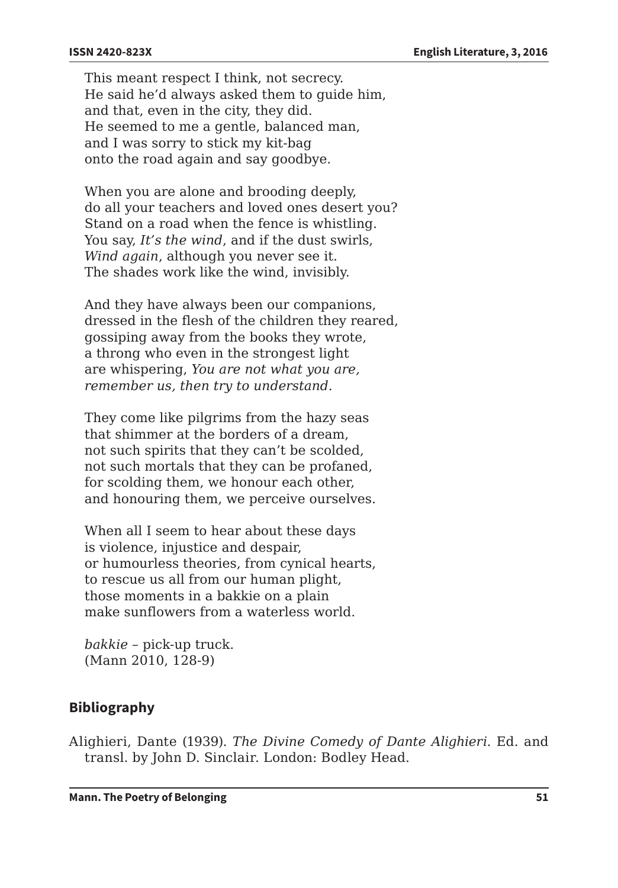This meant respect I think, not secrecy. He said he'd always asked them to guide him, and that, even in the city, they did. He seemed to me a gentle, balanced man, and I was sorry to stick my kit-bag onto the road again and say goodbye.

When you are alone and brooding deeply, do all your teachers and loved ones desert you? Stand on a road when the fence is whistling. You say, *It's the wind*, and if the dust swirls, *Wind again*, although you never see it. The shades work like the wind, invisibly.

And they have always been our companions, dressed in the flesh of the children they reared, gossiping away from the books they wrote, a throng who even in the strongest light are whispering, *You are not what you are, remember us, then try to understand.* 

They come like pilgrims from the hazy seas that shimmer at the borders of a dream, not such spirits that they can't be scolded, not such mortals that they can be profaned, for scolding them, we honour each other, and honouring them, we perceive ourselves.

When all I seem to hear about these days is violence, injustice and despair, or humourless theories, from cynical hearts, to rescue us all from our human plight, those moments in a bakkie on a plain make sunflowers from a waterless world.

*bakkie* – pick-up truck. (Mann 2010, 128-9)

### **Bibliography**

Alighieri, Dante (1939). *The Divine Comedy of Dante Alighieri.* Ed. and transl. by John D. Sinclair. London: Bodley Head.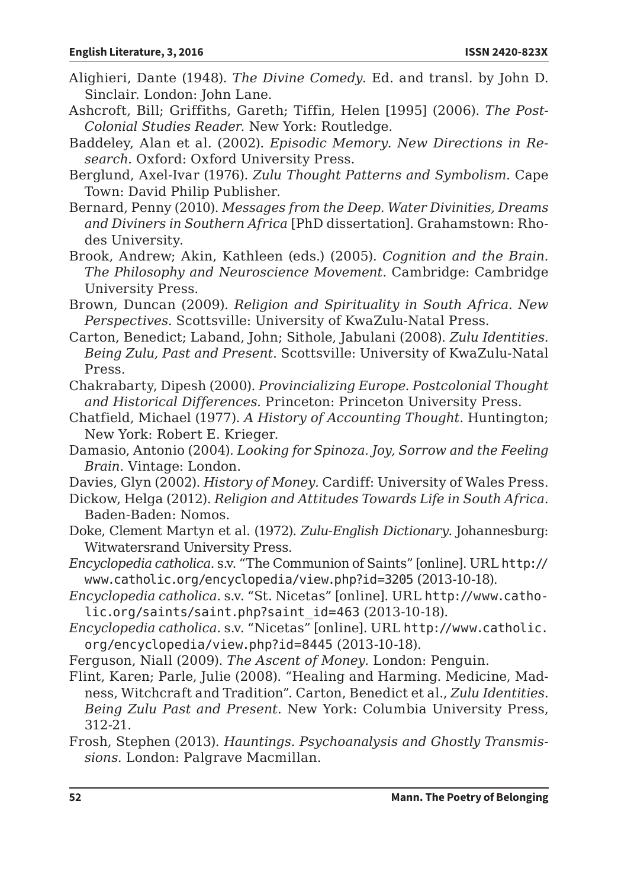- Alighieri, Dante (1948). *The Divine Comedy.* Ed. and transl. by John D. Sinclair. London: John Lane.
- Ashcroft, Bill; Griffiths, Gareth; Tiffin, Helen [1995] (2006). *The Post-Colonial Studies Reader.* New York: Routledge.
- Baddeley, Alan et al. (2002). *Episodic Memory. New Directions in Research.* Oxford: Oxford University Press.
- Berglund, Axel-Ivar (1976). *Zulu Thought Patterns and Symbolism.* Cape Town: David Philip Publisher.
- Bernard, Penny (2010). *Messages from the Deep. Water Divinities, Dreams and Diviners in Southern Africa* [PhD dissertation]. Grahamstown: Rhodes University.
- Brook, Andrew; Akin, Kathleen (eds.) (2005). *Cognition and the Brain. The Philosophy and Neuroscience Movement.* Cambridge: Cambridge University Press.
- Brown, Duncan (2009). *Religion and Spirituality in South Africa. New Perspectives.* Scottsville: University of KwaZulu-Natal Press.
- Carton, Benedict; Laband, John; Sithole, Jabulani (2008). *Zulu Identities. Being Zulu, Past and Present.* Scottsville: University of KwaZulu-Natal Press.
- Chakrabarty, Dipesh (2000). *Provincializing Europe. Postcolonial Thought and Historical Differences.* Princeton: Princeton University Press.
- Chatfield, Michael (1977). *A History of Accounting Thought*. Huntington; New York: Robert E. Krieger.
- Damasio, Antonio (2004). *Looking for Spinoza. Joy, Sorrow and the Feeling Brain.* Vintage: London.
- Davies, Glyn (2002). *History of Money.* Cardiff: University of Wales Press.
- Dickow, Helga (2012). *Religion and Attitudes Towards Life in South Africa*. Baden-Baden: Nomos.
- Doke, Clement Martyn et al. (1972). *Zulu-English Dictionary.* Johannesburg: Witwatersrand University Press.
- *Encyclopedia catholica*. s.v. "The Communion of Saints" [online]. URL http:// www.catholic.org/encyclopedia/view.php?id=3205 (2013-10-18).
- *Encyclopedia catholica*. s.v. "St. Nicetas" [online]. URL http://www.catholic.org/saints/saint.php?saint\_id=463 (2013-10-18).
- *Encyclopedia catholica*. s.v. "Nicetas" [online]. URL http://www.catholic. org/encyclopedia/view.php?id=8445 (2013-10-18).
- Ferguson, Niall (2009). *The Ascent of Money.* London: Penguin.
- Flint, Karen; Parle, Julie (2008). "Healing and Harming. Medicine, Madness, Witchcraft and Tradition". Carton, Benedict et al., *Zulu Identities. Being Zulu Past and Present.* New York: Columbia University Press, 312-21.
- Frosh, Stephen (2013). *Hauntings. Psychoanalysis and Ghostly Transmissions.* London: Palgrave Macmillan.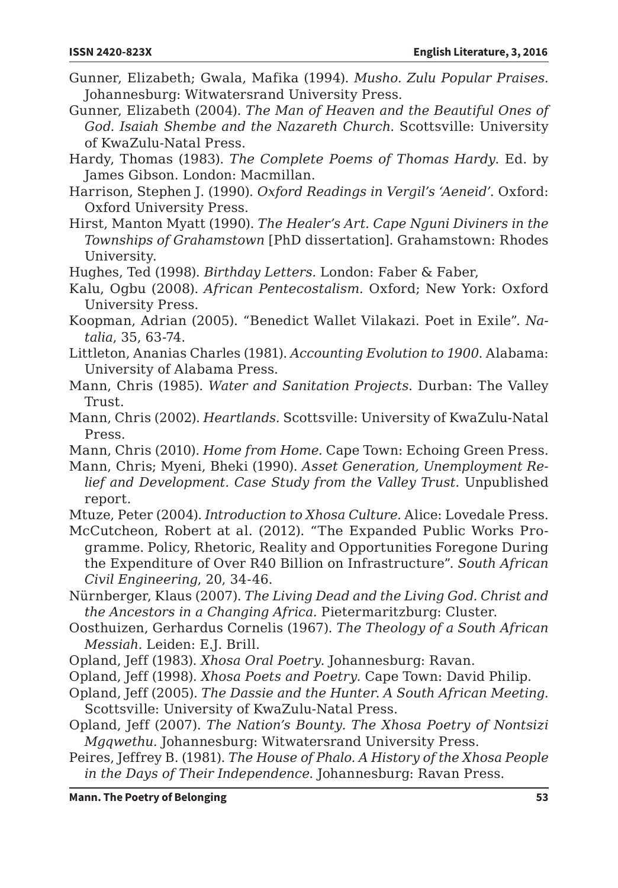- Gunner, Elizabeth; Gwala, Mafika (1994). *Musho. Zulu Popular Praises.*  Johannesburg: Witwatersrand University Press.
- Gunner, Elizabeth (2004). *The Man of Heaven and the Beautiful Ones of God. Isaiah Shembe and the Nazareth Church.* Scottsville: University of KwaZulu-Natal Press.
- Hardy, Thomas (1983). *The Complete Poems of Thomas Hardy*. Ed. by James Gibson. London: Macmillan.
- Harrison, Stephen J. (1990). *Oxford Readings in Vergil's 'Aeneid'*. Oxford: Oxford University Press.
- Hirst, Manton Myatt (1990). *The Healer's Art. Cape Nguni Diviners in the Townships of Grahamstown* [PhD dissertation]. Grahamstown: Rhodes University.
- Hughes, Ted (1998). *Birthday Letters.* London: Faber & Faber,
- Kalu, Ogbu (2008). *African Pentecostalism.* Oxford; New York: Oxford University Press.
- Koopman, Adrian (2005). "Benedict Wallet Vilakazi. Poet in Exile". *Natalia*, 35, 63-74.
- Littleton, Ananias Charles (1981). *Accounting Evolution to 1900*. Alabama: University of Alabama Press.
- Mann, Chris (1985). *Water and Sanitation Projects*. Durban: The Valley Trust.
- Mann, Chris (2002). *Heartlands.* Scottsville: University of KwaZulu-Natal Press.
- Mann, Chris (2010). *Home from Home.* Cape Town: Echoing Green Press.
- Mann, Chris; Myeni, Bheki (1990). *Asset Generation, Unemployment Relief and Development. Case Study from the Valley Trust.* Unpublished report.
- Mtuze, Peter (2004). *Introduction to Xhosa Culture.* Alice: Lovedale Press.
- McCutcheon, Robert at al. (2012). "The Expanded Public Works Programme. Policy, Rhetoric, Reality and Opportunities Foregone During the Expenditure of Over R40 Billion on Infrastructure". *South African Civil Engineering*, 20, 34-46.
- Nürnberger, Klaus (2007). *The Living Dead and the Living God. Christ and the Ancestors in a Changing Africa.* Pietermaritzburg: Cluster.
- Oosthuizen, Gerhardus Cornelis (1967). *The Theology of a South African Messiah.* Leiden: E.J. Brill.
- Opland, Jeff (1983). *Xhosa Oral Poetry.* Johannesburg: Ravan.
- Opland, Jeff (1998). *Xhosa Poets and Poetry.* Cape Town: David Philip.
- Opland, Jeff (2005). *The Dassie and the Hunter. A South African Meeting.*  Scottsville: University of KwaZulu-Natal Press.
- Opland, Jeff (2007). *The Nation's Bounty. The Xhosa Poetry of Nontsizi Mgqwethu.* Johannesburg: Witwatersrand University Press.
- Peires, Jeffrey B. (1981). *The House of Phalo. A History of the Xhosa People in the Days of Their Independence.* Johannesburg: Ravan Press.

**Mann. The Poetry of Belonging 53**